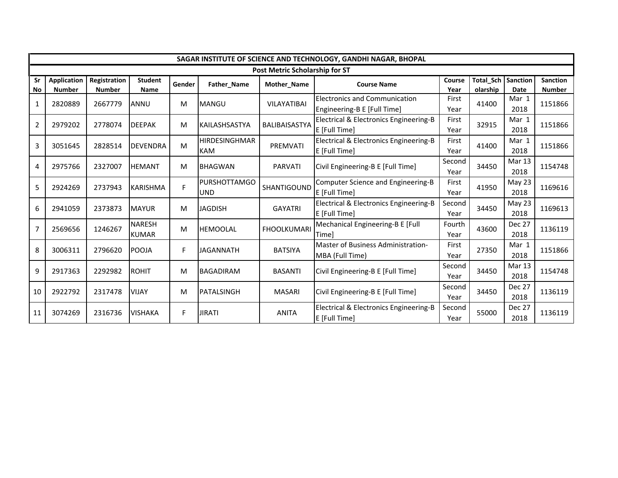|                |                    | SAGAR INSTITUTE OF SCIENCE AND TECHNOLOGY, GANDHI NAGAR, BHOPAL |                 |        |                      |                                       |                                        |        |           |               |                 |  |
|----------------|--------------------|-----------------------------------------------------------------|-----------------|--------|----------------------|---------------------------------------|----------------------------------------|--------|-----------|---------------|-----------------|--|
|                |                    |                                                                 |                 |        |                      | <b>Post Metric Scholarship for ST</b> |                                        |        |           |               |                 |  |
| Sr             | <b>Application</b> | Registration                                                    | <b>Student</b>  | Gender | Father_Name          | Mother_Name                           | <b>Course Name</b>                     | Course | Total_Sch | Sanction      | <b>Sanction</b> |  |
| No             | <b>Number</b>      | <b>Number</b>                                                   | <b>Name</b>     |        |                      |                                       |                                        | Year   | olarship  | Date          | <b>Number</b>   |  |
| 1              | 2820889            | 2667779                                                         | <b>ANNU</b>     | M      | <b>MANGU</b>         | VILAYATIBAI                           | <b>Electronics and Communication</b>   | First  | 41400     | Mar 1         | 1151866         |  |
|                |                    |                                                                 |                 |        |                      |                                       | Engineering-B E [Full Time]            | Year   |           | 2018          |                 |  |
| $\overline{2}$ | 2979202            | 2778074                                                         | <b>DEEPAK</b>   | M      | KAILASHSASTYA        | BALIBAISASTYA                         | Electrical & Electronics Engineering-B | First  | 32915     | Mar 1         | 1151866         |  |
|                |                    |                                                                 |                 |        |                      |                                       | E [Full Time]                          | Year   |           | 2018          |                 |  |
|                |                    |                                                                 |                 |        | <b>HIRDESINGHMAR</b> |                                       | Electrical & Electronics Engineering-B | First  |           | Mar 1         |                 |  |
| 3              | 3051645            | 2828514                                                         | <b>DEVENDRA</b> | M      | <b>KAM</b>           | PREMVATI                              | E [Full Time]                          | Year   | 41400     | 2018          | 1151866         |  |
|                |                    |                                                                 |                 |        |                      |                                       |                                        | Second |           | Mar 13        |                 |  |
| 4              | 2975766            | 2327007                                                         | <b>HEMANT</b>   | M      | <b>BHAGWAN</b>       | <b>PARVATI</b>                        | Civil Engineering-B E [Full Time]      | Year   | 34450     | 2018          | 1154748         |  |
|                |                    |                                                                 |                 |        | <b>PURSHOTTAMGO</b>  |                                       | Computer Science and Engineering-B     | First  |           | May 23        |                 |  |
| 5              | 2924269            | 2737943                                                         | <b>KARISHMA</b> | F      | <b>UND</b>           | SHANTIGOUND                           | E [Full Time]                          | Year   | 41950     | 2018          | 1169616         |  |
|                |                    |                                                                 |                 |        |                      |                                       | Electrical & Electronics Engineering-B | Second |           | May 23        |                 |  |
| 6              | 2941059            | 2373873                                                         | <b>MAYUR</b>    | M      | <b>JAGDISH</b>       | <b>GAYATRI</b>                        | E [Full Time]                          | Year   | 34450     | 2018          | 1169613         |  |
|                |                    |                                                                 | <b>NARESH</b>   |        |                      |                                       | Mechanical Engineering-B E [Full       | Fourth |           | <b>Dec 27</b> |                 |  |
| $\overline{7}$ | 2569656            | 1246267                                                         | <b>KUMAR</b>    | M      | <b>HEMOOLAL</b>      | <b>FHOOLKUMARI</b>                    | <b>Timel</b>                           | Year   | 43600     | 2018          | 1136119         |  |
|                |                    |                                                                 |                 |        |                      |                                       | Master of Business Administration-     | First  |           | Mar 1         |                 |  |
| 8              | 3006311            | 2796620                                                         | POOJA           | F      | JAGANNATH            | <b>BATSIYA</b>                        | MBA (Full Time)                        | Year   | 27350     | 2018          | 1151866         |  |
|                |                    |                                                                 |                 |        |                      |                                       |                                        | Second |           | Mar 13        |                 |  |
| 9              | 2917363            | 2292982                                                         | <b>ROHIT</b>    | M      | <b>BAGADIRAM</b>     | <b>BASANTI</b>                        | Civil Engineering-B E [Full Time]      | Year   | 34450     | 2018          | 1154748         |  |
|                |                    |                                                                 |                 |        |                      |                                       |                                        | Second |           | <b>Dec 27</b> |                 |  |
| 10             | 2922792            | 2317478                                                         | <b>VIJAY</b>    | м      | PATALSINGH           | <b>MASARI</b>                         | Civil Engineering-B E [Full Time]      | Year   | 34450     | 2018          | 1136119         |  |
|                |                    |                                                                 |                 | F      |                      |                                       | Electrical & Electronics Engineering-B | Second |           | <b>Dec 27</b> | 1136119         |  |
| 11             | 3074269            | 2316736                                                         | <b>VISHAKA</b>  |        | JIRATI               | <b>ANITA</b>                          | E [Full Time]                          | Year   | 55000     | 2018          |                 |  |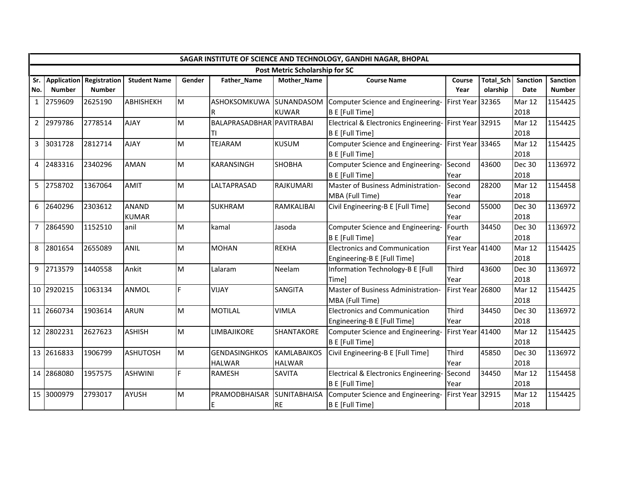|     | SAGAR INSTITUTE OF SCIENCE AND TECHNOLOGY, GANDHI NAGAR, BHOPAL |                              |                     |        |                           |                                |                                       |                  |           |                 |                 |  |
|-----|-----------------------------------------------------------------|------------------------------|---------------------|--------|---------------------------|--------------------------------|---------------------------------------|------------------|-----------|-----------------|-----------------|--|
|     |                                                                 |                              |                     |        |                           | Post Metric Scholarship for SC |                                       |                  |           |                 |                 |  |
|     |                                                                 | Sr. Application Registration | <b>Student Name</b> | Gender | Father_Name               | Mother_Name                    | <b>Course Name</b>                    | Course           | Total_Sch | <b>Sanction</b> | <b>Sanction</b> |  |
| No. | <b>Number</b>                                                   | <b>Number</b>                |                     |        |                           |                                |                                       | Year             | olarship  | Date            | <b>Number</b>   |  |
|     | 1 2759609                                                       | 2625190                      | <b>ABHISHEKH</b>    | lм     | ASHOKSOMKUWA              | SUNANDASOM                     | Computer Science and Engineering-     | First Year 32365 |           | Mar 12          | 1154425         |  |
|     |                                                                 |                              |                     |        | R                         | <b>KUWAR</b>                   | <b>B E [Full Time]</b>                |                  |           | 2018            |                 |  |
|     | 2 2979786                                                       | 2778514                      | <b>AJAY</b>         | M      | BALAPRASADBHAR PAVITRABAI |                                | Electrical & Electronics Engineering- | First Year 32915 |           | Mar 12          | 1154425         |  |
|     |                                                                 |                              |                     |        | ΤI                        |                                | B E [Full Time]                       |                  |           | 2018            |                 |  |
|     | 3 3031728                                                       | 2812714                      | <b>AJAY</b>         | M      | <b>TEJARAM</b>            | <b>KUSUM</b>                   | Computer Science and Engineering-     | First Year 33465 |           | Mar 12          | 1154425         |  |
|     |                                                                 |                              |                     |        |                           |                                | B E [Full Time]                       |                  |           | 2018            |                 |  |
|     | 4 2483316                                                       | 2340296                      | <b>AMAN</b>         | M      | KARANSINGH                | <b>SHOBHA</b>                  | Computer Science and Engineering-     | Second           | 43600     | <b>Dec 30</b>   | 1136972         |  |
|     |                                                                 |                              |                     |        |                           |                                | B E [Full Time]                       | Year             |           | 2018            |                 |  |
|     | 5 2758702                                                       | 1367064                      | <b>AMIT</b>         | M      | LALTAPRASAD               | RAJKUMARI                      | Master of Business Administration-    | Second           | 28200     | Mar 12          | 1154458         |  |
|     |                                                                 |                              |                     |        |                           |                                | MBA (Full Time)                       | Year             |           | 2018            |                 |  |
|     | 6 2640296                                                       | 2303612                      | <b>ANAND</b>        | Iм     | <b>SUKHRAM</b>            | RAMKALIBAI                     | Civil Engineering-B E [Full Time]     | Second           | 55000     | <b>Dec 30</b>   | 1136972         |  |
|     |                                                                 |                              | <b>KUMAR</b>        |        |                           |                                |                                       | Year             |           | 2018            |                 |  |
|     | 7 2864590                                                       | 1152510                      | anil                | M      | kamal                     | Jasoda                         | Computer Science and Engineering-     | Fourth           | 34450     | <b>Dec 30</b>   | 1136972         |  |
|     |                                                                 |                              |                     |        |                           |                                | B E [Full Time]                       | Year             |           | 2018            |                 |  |
|     | 8 2801654                                                       | 2655089                      | <b>ANIL</b>         | M      | <b>MOHAN</b>              | <b>REKHA</b>                   | <b>Electronics and Communication</b>  | First Year 41400 |           | Mar 12          | 1154425         |  |
|     |                                                                 |                              |                     |        |                           |                                | Engineering-B E [Full Time]           |                  |           | 2018            |                 |  |
|     | 9 2713579                                                       | 1440558                      | Ankit               | Iм     | Lalaram                   | Neelam                         | Information Technology-B E [Full      | Third            | 43600     | <b>Dec 30</b>   | 1136972         |  |
|     |                                                                 |                              |                     |        |                           |                                | Time]                                 | Year             |           | 2018            |                 |  |
|     | 10 2920215                                                      | 1063134                      | <b>ANMOL</b>        | lF.    | <b>VIJAY</b>              | <b>SANGITA</b>                 | Master of Business Administration-    | First Year 26800 |           | Mar 12          | 1154425         |  |
|     |                                                                 |                              |                     |        |                           |                                | MBA (Full Time)                       |                  |           | 2018            |                 |  |
|     | 11 2660734                                                      | 1903614                      | <b>ARUN</b>         | M      | <b>MOTILAL</b>            | <b>VIMLA</b>                   | <b>Electronics and Communication</b>  | Third            | 34450     | Dec 30          | 1136972         |  |
|     |                                                                 |                              |                     |        |                           |                                | Engineering-B E [Full Time]           | Year             |           | 2018            |                 |  |
|     | 12 2802231                                                      | 2627623                      | <b>ASHISH</b>       | Iм     | <b>LIMBAJIKORE</b>        | <b>SHANTAKORE</b>              | Computer Science and Engineering-     | First Year 41400 |           | Mar 12          | 1154425         |  |
|     |                                                                 |                              |                     |        |                           |                                | B E [Full Time]                       |                  |           | 2018            |                 |  |
|     | 13 2616833                                                      | 1906799                      | <b>ASHUTOSH</b>     | Iм     | <b>GENDASINGHKOS</b>      | <b>KAMLABAIKOS</b>             | Civil Engineering-B E [Full Time]     | Third            | 45850     | <b>Dec 30</b>   | 1136972         |  |
|     |                                                                 |                              |                     |        | <b>HALWAR</b>             | <b>HALWAR</b>                  |                                       | Year             |           | 2018            |                 |  |
|     | 14 2868080                                                      | 1957575                      | <b>ASHWINI</b>      | F      | RAMESH                    | SAVITA                         | Electrical & Electronics Engineering- | Second           | 34450     | Mar 12          | 1154458         |  |
|     |                                                                 |                              |                     |        |                           |                                | B E [Full Time]                       | Year             |           | 2018            |                 |  |
|     | 15 3000979                                                      | 2793017                      | <b>AYUSH</b>        | M      | PRAMODBHAISAR             | <b>SUNITABHAISA</b>            | Computer Science and Engineering-     | First Year 32915 |           | Mar 12          | 1154425         |  |
|     |                                                                 |                              |                     |        | E                         | <b>RE</b>                      | B E [Full Time]                       |                  |           | 2018            |                 |  |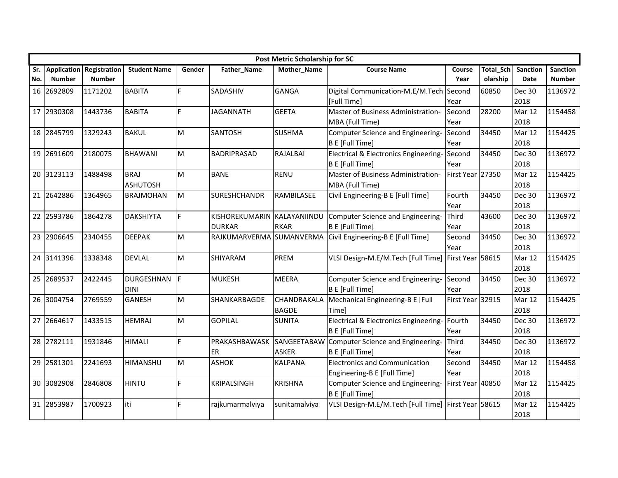|     |                    |               |                     |        |                      | <b>Post Metric Scholarship for SC</b> |                                                     |                  |                  |                 |                 |
|-----|--------------------|---------------|---------------------|--------|----------------------|---------------------------------------|-----------------------------------------------------|------------------|------------------|-----------------|-----------------|
| Sr. | <b>Application</b> | Registration  | <b>Student Name</b> | Gender | Father_Name          | Mother_Name                           | <b>Course Name</b>                                  | Course           | <b>Total Sch</b> | <b>Sanction</b> | <b>Sanction</b> |
| No. | <b>Number</b>      | <b>Number</b> |                     |        |                      |                                       |                                                     | Year             | olarship         | Date            | <b>Number</b>   |
|     | 16 2692809         | 1171202       | <b>BABITA</b>       | F.     | SADASHIV             | <b>GANGA</b>                          | Digital Communication-M.E/M.Tech Second             |                  | 60850            | <b>Dec 30</b>   | 1136972         |
|     |                    |               |                     |        |                      |                                       | [Full Time]                                         | Year             |                  | 2018            |                 |
|     | 17 2930308         | 1443736       | <b>BABITA</b>       | F.     | <b>JAGANNATH</b>     | <b>GEETA</b>                          | Master of Business Administration-                  | Second           | 28200            | Mar 12          | 1154458         |
|     |                    |               |                     |        |                      |                                       | MBA (Full Time)                                     | Year             |                  | 2018            |                 |
|     | 18 2845799         | 1329243       | <b>BAKUL</b>        | M      | <b>SANTOSH</b>       | <b>SUSHMA</b>                         | Computer Science and Engineering-                   | Second           | 34450            | Mar 12          | 1154425         |
|     |                    |               |                     |        |                      |                                       | B E [Full Time]                                     | Year             |                  | 2018            |                 |
|     | 19 2691609         | 2180075       | <b>BHAWANI</b>      | M      | <b>BADRIPRASAD</b>   | RAJALBAI                              | Electrical & Electronics Engineering-               | Second           | 34450            | Dec 30          | 1136972         |
|     |                    |               |                     |        |                      |                                       | B E [Full Time]                                     | Year             |                  | 2018            |                 |
|     | 20 3123113         | 1488498       | <b>BRAJ</b>         | M      | <b>BANE</b>          | <b>RENU</b>                           | Master of Business Administration-                  | First Year 27350 |                  | Mar 12          | 1154425         |
|     |                    |               | <b>ASHUTOSH</b>     |        |                      |                                       | MBA (Full Time)                                     |                  |                  | 2018            |                 |
|     | 21 2642886         | 1364965       | <b>BRAJMOHAN</b>    | M      | <b>SURESHCHANDR</b>  | RAMBILASEE                            | Civil Engineering-B E [Full Time]                   | Fourth           | 34450            | Dec 30          | 1136972         |
|     |                    |               |                     |        |                      |                                       |                                                     | Year             |                  | 2018            |                 |
|     | 22 2593786         | 1864278       | <b>DAKSHIYTA</b>    | F.     | KISHOREKUMARIN       | KALAYANIINDU                          | Computer Science and Engineering-                   | Third            | 43600            | <b>Dec 30</b>   | 1136972         |
|     |                    |               |                     |        | <b>DURKAR</b>        | <b>RKAR</b>                           | B E [Full Time]                                     | Year             |                  | 2018            |                 |
|     | 23 2906645         | 2340455       | <b>DEEPAK</b>       | M      | <b>RAJKUMARVERMA</b> | <b>SUMANVERMA</b>                     | Civil Engineering-B E [Full Time]                   | Second           | 34450            | <b>Dec 30</b>   | 1136972         |
|     |                    |               |                     |        |                      |                                       |                                                     | Year             |                  | 2018            |                 |
|     | 24 3141396         | 1338348       | <b>DEVLAL</b>       | M      | SHIYARAM             | PREM                                  | VLSI Design-M.E/M.Tech [Full Time]                  | First Year 58615 |                  | Mar 12          | 1154425         |
|     |                    |               |                     |        |                      |                                       |                                                     |                  |                  | 2018            |                 |
|     | 25 2689537         | 2422445       | <b>DURGESHNAN</b>   | IF.    | <b>MUKESH</b>        | <b>MEERA</b>                          | Computer Science and Engineering-                   | Second           | 34450            | <b>Dec 30</b>   | 1136972         |
|     |                    |               | <b>DINI</b>         |        |                      |                                       | B E [Full Time]                                     | Year             |                  | 2018            |                 |
|     | 26 3004754         | 2769559       | <b>GANESH</b>       | M      | SHANKARBAGDE         | CHANDRAKALA                           | Mechanical Engineering-B E [Full                    | First Year 32915 |                  | Mar 12          | 1154425         |
|     |                    |               |                     |        |                      | <b>BAGDE</b>                          | Timel                                               |                  |                  | 2018            |                 |
|     | 27 2664617         | 1433515       | <b>HEMRAJ</b>       | M      | <b>GOPILAL</b>       | <b>SUNITA</b>                         | Electrical & Electronics Engineering-               | Fourth           | 34450            | <b>Dec 30</b>   | 1136972         |
|     |                    |               |                     |        |                      |                                       | B E [Full Time]                                     | Year             |                  | 2018            |                 |
|     | 28 2782111         | 1931846       | <b>HIMALI</b>       | F      | PRAKASHBAWASK        |                                       | SANGEETABAW Computer Science and Engineering-       | Third            | 34450            | <b>Dec 30</b>   | 1136972         |
|     |                    |               |                     |        | ER                   | <b>ASKER</b>                          | <b>B E [Full Time]</b>                              | Year             |                  | 2018            |                 |
|     | 29 2581301         | 2241693       | <b>HIMANSHU</b>     | M      | <b>ASHOK</b>         | <b>KALPANA</b>                        | <b>Electronics and Communication</b>                | Second           | 34450            | Mar 12          | 1154458         |
|     |                    |               |                     |        |                      |                                       | Engineering-B E [Full Time]                         | Year             |                  | 2018            |                 |
|     | 30 3082908         | 2846808       | <b>HINTU</b>        | F.     | <b>KRIPALSINGH</b>   | <b>KRISHNA</b>                        | Computer Science and Engineering-                   | First Year 40850 |                  | Mar 12          | 1154425         |
|     |                    |               |                     |        |                      |                                       | B E [Full Time]                                     |                  |                  | 2018            |                 |
|     | 31 2853987         | 1700923       | liti                | F.     | rajkumarmalviya      | sunitamalviya                         | VLSI Design-M.E/M.Tech [Full Time] First Year 58615 |                  |                  | Mar 12          | 1154425         |
|     |                    |               |                     |        |                      |                                       |                                                     |                  |                  | 2018            |                 |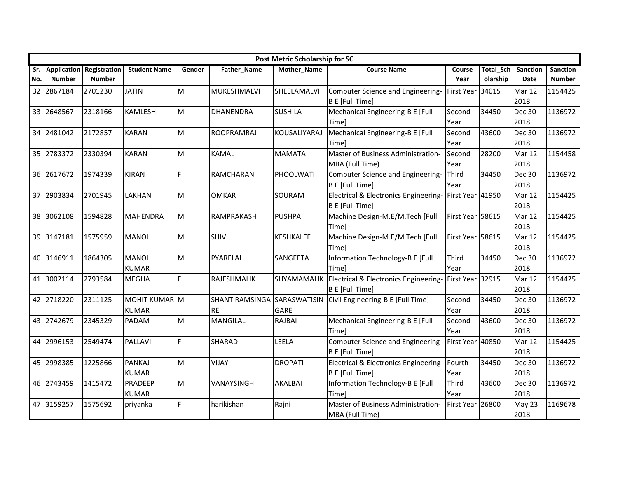|     |                    |               |                     |        |                   | <b>Post Metric Scholarship for SC</b> |                                                  |                  |                  |                 |                 |
|-----|--------------------|---------------|---------------------|--------|-------------------|---------------------------------------|--------------------------------------------------|------------------|------------------|-----------------|-----------------|
| Sr. | <b>Application</b> | Registration  | <b>Student Name</b> | Gender | Father_Name       | Mother_Name                           | <b>Course Name</b>                               | Course           | <b>Total Sch</b> | <b>Sanction</b> | <b>Sanction</b> |
| No. | <b>Number</b>      | <b>Number</b> |                     |        |                   |                                       |                                                  | Year             | olarship         | Date            | <b>Number</b>   |
|     | 32 2867184         | 2701230       | <b>JATIN</b>        | M      | MUKESHMALVI       | SHEELAMALVI                           | Computer Science and Engineering-                | First Year 34015 |                  | Mar 12          | 1154425         |
|     |                    |               |                     |        |                   |                                       | B E [Full Time]                                  |                  |                  | 2018            |                 |
|     | 33 2648567         | 2318166       | <b>KAMLESH</b>      | M      | <b>DHANENDRA</b>  | <b>SUSHILA</b>                        | Mechanical Engineering-B E [Full                 | Second           | 34450            | <b>Dec 30</b>   | 1136972         |
|     |                    |               |                     |        |                   |                                       | Time]                                            | Year             |                  | 2018            |                 |
|     | 34 2481042         | 2172857       | <b>KARAN</b>        | M      | <b>ROOPRAMRAJ</b> | KOUSALIYARAJ                          | Mechanical Engineering-B E [Full                 | Second           | 43600            | <b>Dec 30</b>   | 1136972         |
|     |                    |               |                     |        |                   |                                       | <b>Time</b>                                      | Year             |                  | 2018            |                 |
|     | 35 2783372         | 2330394       | <b>KARAN</b>        | M      | <b>KAMAL</b>      | <b>MAMATA</b>                         | Master of Business Administration-               | Second           | 28200            | Mar 12          | 1154458         |
|     |                    |               |                     |        |                   |                                       | MBA (Full Time)                                  | Year             |                  | 2018            |                 |
|     | 36 2617672         | 1974339       | <b>KIRAN</b>        | F.     | <b>RAMCHARAN</b>  | PHOOLWATI                             | Computer Science and Engineering-                | Third            | 34450            | <b>Dec 30</b>   | 1136972         |
|     |                    |               |                     |        |                   |                                       | B E [Full Time]                                  | Year             |                  | 2018            |                 |
|     | 37 2903834         | 2701945       | LAKHAN              | M      | <b>OMKAR</b>      | SOURAM                                | <b>Electrical &amp; Electronics Engineering-</b> | First Year 41950 |                  | Mar 12          | 1154425         |
|     |                    |               |                     |        |                   |                                       | B E [Full Time]                                  |                  |                  | 2018            |                 |
|     | 38 3062108         | 1594828       | <b>MAHENDRA</b>     | M      | RAMPRAKASH        | <b>PUSHPA</b>                         | Machine Design-M.E/M.Tech [Full                  | First Year 58615 |                  | Mar 12          | 1154425         |
|     |                    |               |                     |        |                   |                                       | Timel                                            |                  |                  | 2018            |                 |
|     | 39 3147181         | 1575959       | <b>MANOJ</b>        | M      | <b>SHIV</b>       | KESHKALEE                             | Machine Design-M.E/M.Tech [Full                  | First Year 58615 |                  | Mar 12          | 1154425         |
|     |                    |               |                     |        |                   |                                       | Timel                                            |                  |                  | 2018            |                 |
|     | 40 3146911         | 1864305       | <b>MANOJ</b>        | M      | PYARELAL          | SANGEETA                              | Information Technology-B E [Full                 | Third            | 34450            | <b>Dec 30</b>   | 1136972         |
|     |                    |               | <b>KUMAR</b>        |        |                   |                                       | Timel                                            | Year             |                  | 2018            |                 |
|     | 41 3002114         | 2793584       | <b>MEGHA</b>        | F      | RAJESHMALIK       | SHYAMAMALIK                           | Electrical & Electronics Engineering-            | First Year 32915 |                  | Mar 12          | 1154425         |
|     |                    |               |                     |        |                   |                                       | B E [Full Time]                                  |                  |                  | 2018            |                 |
|     | 42 2718220         | 2311125       | MOHIT KUMAR M       |        | SHANTIRAMSINGA    | SARASWATISIN                          | Civil Engineering-B E [Full Time]                | Second           | 34450            | <b>Dec 30</b>   | 1136972         |
|     |                    |               | <b>KUMAR</b>        |        | <b>RE</b>         | GARE                                  |                                                  | Year             |                  | 2018            |                 |
|     | 43 2742679         | 2345329       | <b>PADAM</b>        | M      | <b>MANGILAL</b>   | <b>RAJBAI</b>                         | Mechanical Engineering-B E [Full                 | Second           | 43600            | <b>Dec 30</b>   | 1136972         |
|     |                    |               |                     |        |                   |                                       | Timel                                            | Year             |                  | 2018            |                 |
|     | 44 2996153         | 2549474       | <b>PALLAVI</b>      | F      | <b>SHARAD</b>     | LEELA                                 | Computer Science and Engineering-                | First Year 40850 |                  | Mar 12          | 1154425         |
|     |                    |               |                     |        |                   |                                       | B E [Full Time]                                  |                  |                  | 2018            |                 |
|     | 45 2998385         | 1225866       | <b>PANKAJ</b>       | M      | <b>VIJAY</b>      | <b>DROPATI</b>                        | Electrical & Electronics Engineering-            | Fourth           | 34450            | <b>Dec 30</b>   | 1136972         |
|     |                    |               | <b>KUMAR</b>        |        |                   |                                       | <b>B E [Full Time]</b>                           | Year             |                  | 2018            |                 |
|     | 46 2743459         | 1415472       | PRADEEP             | M      | VANAYSINGH        | AKALBAI                               | Information Technology-B E [Full                 | Third            | 43600            | <b>Dec 30</b>   | 1136972         |
|     |                    |               | <b>KUMAR</b>        |        |                   |                                       | Time]                                            | Year             |                  | 2018            |                 |
|     | 47 3159257         | 1575692       | priyanka            | F      | harikishan        | Rajni                                 | Master of Business Administration-               | First Year 26800 |                  | May 23          | 1169678         |
|     |                    |               |                     |        |                   |                                       | MBA (Full Time)                                  |                  |                  | 2018            |                 |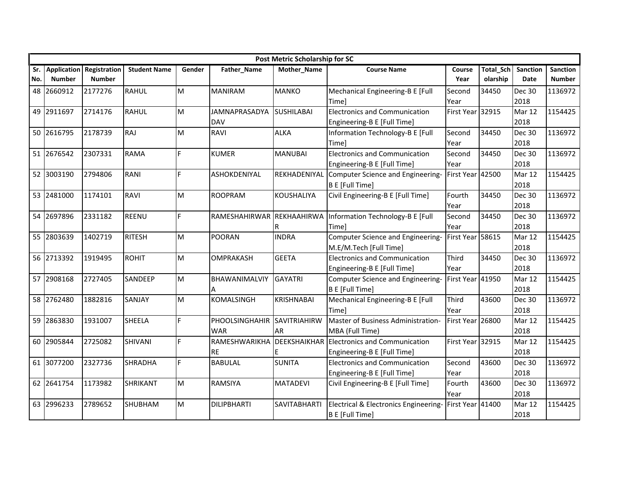|            |                              |                               |                     |        |                                    | <b>Post Metric Scholarship for SC</b> |                                                                                  |                  |                              |                         |                                  |
|------------|------------------------------|-------------------------------|---------------------|--------|------------------------------------|---------------------------------------|----------------------------------------------------------------------------------|------------------|------------------------------|-------------------------|----------------------------------|
| Sr.<br>No. | Application<br><b>Number</b> | Registration<br><b>Number</b> | <b>Student Name</b> | Gender | Father_Name                        | Mother_Name                           | <b>Course Name</b>                                                               | Course<br>Year   | <b>Total Sch</b><br>olarship | <b>Sanction</b><br>Date | <b>Sanction</b><br><b>Number</b> |
|            | 48 2660912                   | 2177276                       | <b>RAHUL</b>        | M      | <b>MANIRAM</b>                     | <b>MANKO</b>                          | Mechanical Engineering-B E [Full<br>Timel                                        | Second<br>Year   | 34450                        | <b>Dec 30</b><br>2018   | 1136972                          |
|            | 49 2911697                   | 2714176                       | <b>RAHUL</b>        | M      | <b>JAMNAPRASADYA</b><br><b>DAV</b> | <b>SUSHILABAI</b>                     | <b>Electronics and Communication</b><br>Engineering-B E [Full Time]              | First Year 32915 |                              | Mar 12<br>2018          | 1154425                          |
|            | 50 2616795                   | 2178739                       | <b>RAJ</b>          | M      | <b>RAVI</b>                        | <b>ALKA</b>                           | Information Technology-B E [Full<br>Time]                                        | Second<br>Year   | 34450                        | <b>Dec 30</b><br>2018   | 1136972                          |
|            | 51 2676542                   | 2307331                       | <b>RAMA</b>         | F      | <b>KUMER</b>                       | <b>MANUBAI</b>                        | <b>Electronics and Communication</b><br>Engineering-B E [Full Time]              | Second<br>Year   | 34450                        | <b>Dec 30</b><br>2018   | 1136972                          |
|            | 52 3003190                   | 2794806                       | <b>RANI</b>         | F      | ASHOKDENIYAL                       | REKHADENIYAL                          | Computer Science and Engineering-<br>B E [Full Time]                             | First Year 42500 |                              | Mar 12<br>2018          | 1154425                          |
|            | 53 2481000                   | 1174101                       | <b>RAVI</b>         | M      | <b>ROOPRAM</b>                     | <b>KOUSHALIYA</b>                     | Civil Engineering-B E [Full Time]                                                | Fourth<br>Year   | 34450                        | <b>Dec 30</b><br>2018   | 1136972                          |
|            | 54 2697896                   | 2331182                       | <b>REENU</b>        | F      | RAMESHAHIRWAR REKHAAHIRWA          | R                                     | Information Technology-B E [Full<br>Timel                                        | Second<br>Year   | 34450                        | <b>Dec 30</b><br>2018   | 1136972                          |
|            | 55 2803639                   | 1402719                       | <b>RITESH</b>       | M      | <b>POORAN</b>                      | <b>INDRA</b>                          | Computer Science and Engineering-<br>M.E/M.Tech [Full Time]                      | First Year 58615 |                              | Mar 12<br>2018          | 1154425                          |
|            | 56 2713392                   | 1919495                       | <b>ROHIT</b>        | M      | <b>OMPRAKASH</b>                   | <b>GEETA</b>                          | <b>Electronics and Communication</b><br>Engineering-B E [Full Time]              | Third<br>Year    | 34450                        | <b>Dec 30</b><br>2018   | 1136972                          |
|            | 57 2908168                   | 2727405                       | SANDEEP             | M      | BHAWANIMALVIY<br>Α                 | <b>GAYATRI</b>                        | Computer Science and Engineering-<br><b>B E [Full Time]</b>                      | First Year 41950 |                              | Mar 12<br>2018          | 1154425                          |
|            | 58 2762480                   | 1882816                       | SANJAY              | M      | KOMALSINGH                         | <b>KRISHNABAI</b>                     | Mechanical Engineering-B E [Full<br>Timel                                        | Third<br>Year    | 43600                        | <b>Dec 30</b><br>2018   | 1136972                          |
|            | 59 2863830                   | 1931007                       | <b>SHEELA</b>       | F      | PHOOLSINGHAHIR<br><b>WAR</b>       | SAVITRIAHIRW<br><b>AR</b>             | Master of Business Administration-<br>MBA (Full Time)                            | First Year 26800 |                              | Mar 12<br>2018          | 1154425                          |
|            | 60 2905844                   | 2725082                       | <b>SHIVANI</b>      | F      | RAMESHWARIKHA<br><b>RE</b>         | F                                     | <b>DEEKSHAIKHAR Electronics and Communication</b><br>Engineering-B E [Full Time] | First Year 32915 |                              | Mar 12<br>2018          | 1154425                          |
|            | 61 3077200                   | 2327736                       | <b>SHRADHA</b>      | F      | <b>BABULAL</b>                     | <b>SUNITA</b>                         | <b>Electronics and Communication</b><br>Engineering-B E [Full Time]              | Second<br>Year   | 43600                        | <b>Dec 30</b><br>2018   | 1136972                          |
|            | 62 2641754                   | 1173982                       | <b>SHRIKANT</b>     | M      | <b>RAMSIYA</b>                     | <b>MATADEVI</b>                       | Civil Engineering-B E [Full Time]                                                | Fourth<br>Year   | 43600                        | Dec 30<br>2018          | 1136972                          |
|            | 63 2996233                   | 2789652                       | <b>SHUBHAM</b>      | M      | <b>DILIPBHARTI</b>                 | <b>SAVITABHARTI</b>                   | Electrical & Electronics Engineering-<br>B E [Full Time]                         | First Year 41400 |                              | Mar 12<br>2018          | 1154425                          |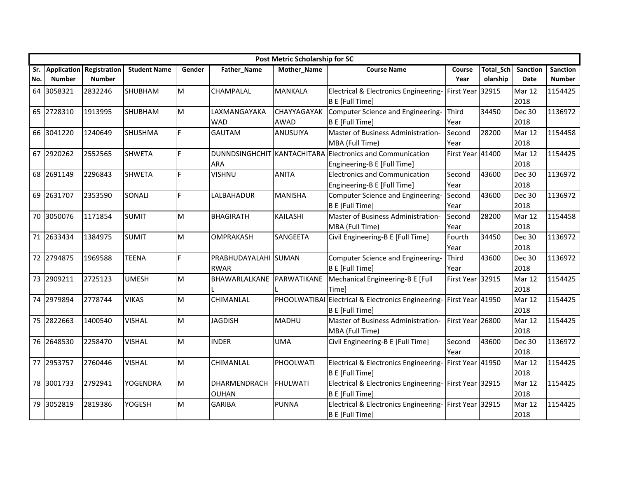|     |                    |               |                     |        |                  | <b>Post Metric Scholarship for SC</b> |                                                           |                  |           |                 |                 |
|-----|--------------------|---------------|---------------------|--------|------------------|---------------------------------------|-----------------------------------------------------------|------------------|-----------|-----------------|-----------------|
| Sr. | <b>Application</b> | Registration  | <b>Student Name</b> | Gender | Father_Name      | Mother_Name                           | <b>Course Name</b>                                        | Course           | Total_Sch | <b>Sanction</b> | <b>Sanction</b> |
| No. | <b>Number</b>      | <b>Number</b> |                     |        |                  |                                       |                                                           | Year             | olarship  | Date            | <b>Number</b>   |
|     | 64 3058321         | 2832246       | <b>SHUBHAM</b>      | M      | CHAMPALAL        | <b>MANKALA</b>                        | Electrical & Electronics Engineering-                     | First Year 32915 |           | Mar 12          | 1154425         |
|     |                    |               |                     |        |                  |                                       | B E [Full Time]                                           |                  |           | 2018            |                 |
|     | 65 2728310         | 1913995       | <b>SHUBHAM</b>      | M      | LAXMANGAYAKA     | CHAYYAGAYAK                           | Computer Science and Engineering-                         | Third            | 34450     | <b>Dec 30</b>   | 1136972         |
|     |                    |               |                     |        | <b>WAD</b>       | <b>AWAD</b>                           | B E [Full Time]                                           | Year             |           | 2018            |                 |
|     | 66 3041220         | 1240649       | <b>SHUSHMA</b>      | F      | <b>GAUTAM</b>    | ANUSUIYA                              | Master of Business Administration-                        | Second           | 28200     | Mar 12          | 1154458         |
|     |                    |               |                     |        |                  |                                       | MBA (Full Time)                                           | Year             |           | 2018            |                 |
|     | 67 2920262         | 2552565       | <b>SHWETA</b>       | F      |                  |                                       | DUNNDSINGHCHIT KANTACHITARA Electronics and Communication | First Year 41400 |           | Mar 12          | 1154425         |
|     |                    |               |                     |        | ARA              |                                       | Engineering-B E [Full Time]                               |                  |           | 2018            |                 |
|     | 68 2691149         | 2296843       | <b>SHWETA</b>       | F      | <b>VISHNU</b>    | <b>ANITA</b>                          | <b>Electronics and Communication</b>                      | Second           | 43600     | Dec 30          | 1136972         |
|     |                    |               |                     |        |                  |                                       | Engineering-B E [Full Time]                               | Year             |           | 2018            |                 |
|     | 69 2631707         | 2353590       | SONALI              | F      | LALBAHADUR       | <b>MANISHA</b>                        | Computer Science and Engineering-                         | Second           | 43600     | <b>Dec 30</b>   | 1136972         |
|     |                    |               |                     |        |                  |                                       | B E [Full Time]                                           | Year             |           | 2018            |                 |
|     | 70 3050076         | 1171854       | <b>SUMIT</b>        | M      | <b>BHAGIRATH</b> | <b>KAILASHI</b>                       | Master of Business Administration-                        | Second           | 28200     | Mar 12          | 1154458         |
|     |                    |               |                     |        |                  |                                       | MBA (Full Time)                                           | Year             |           | 2018            |                 |
|     | 71 2633434         | 1384975       | <b>SUMIT</b>        | M      | <b>OMPRAKASH</b> | SANGEETA                              | Civil Engineering-B E [Full Time]                         | Fourth           | 34450     | <b>Dec 30</b>   | 1136972         |
|     |                    |               |                     |        |                  |                                       |                                                           | Year             |           | 2018            |                 |
|     | 72 2794875         | 1969588       | <b>TEENA</b>        | F      | PRABHUDAYALAHI   | <b>SUMAN</b>                          | Computer Science and Engineering-                         | Third            | 43600     | <b>Dec 30</b>   | 1136972         |
|     |                    |               |                     |        | <b>RWAR</b>      |                                       | B E [Full Time]                                           | Year             |           | 2018            |                 |
|     | 73 2909211         | 2725123       | <b>UMESH</b>        | M      | BHAWARLALKANE    | PARWATIKANE                           | Mechanical Engineering-B E [Full                          | First Year 32915 |           | Mar 12          | 1154425         |
|     |                    |               |                     |        |                  |                                       | Timel                                                     |                  |           | 2018            |                 |
|     | 74 2979894         | 2778744       | <b>VIKAS</b>        | M      | CHIMANLAL        | PHOOLWATIBAI                          | Electrical & Electronics Engineering-                     | First Year 41950 |           | Mar 12          | 1154425         |
|     |                    |               |                     |        |                  |                                       | B E [Full Time]                                           |                  |           | 2018            |                 |
|     | 75 2822663         | 1400540       | <b>VISHAL</b>       | M      | <b>JAGDISH</b>   | <b>MADHU</b>                          | Master of Business Administration-                        | First Year 26800 |           | Mar 12          | 1154425         |
|     |                    |               |                     |        |                  |                                       | MBA (Full Time)                                           |                  |           | 2018            |                 |
|     | 76 2648530         | 2258470       | <b>VISHAL</b>       | M      | <b>INDER</b>     | <b>UMA</b>                            | Civil Engineering-B E [Full Time]                         | Second           | 43600     | <b>Dec 30</b>   | 1136972         |
|     |                    |               |                     |        |                  |                                       |                                                           | Year             |           | 2018            |                 |
|     | 77 2953757         | 2760446       | <b>VISHAL</b>       | M      | CHIMANLAL        | PHOOLWATI                             | Electrical & Electronics Engineering-                     | First Year 41950 |           | Mar 12          | 1154425         |
|     |                    |               |                     |        |                  |                                       | B E [Full Time]                                           |                  |           | 2018            |                 |
|     | 78 3001733         | 2792941       | <b>YOGENDRA</b>     | M      | DHARMENDRACH     | <b>FHULWATI</b>                       | Electrical & Electronics Engineering-                     | First Year 32915 |           | Mar 12          | 1154425         |
|     |                    |               |                     |        | <b>OUHAN</b>     |                                       | B E [Full Time]                                           |                  |           | 2018            |                 |
|     | 79 3052819         | 2819386       | <b>YOGESH</b>       | M      | <b>GARIBA</b>    | <b>PUNNA</b>                          | Electrical & Electronics Engineering- First Year 32915    |                  |           | Mar 12          | 1154425         |
|     |                    |               |                     |        |                  |                                       | B E [Full Time]                                           |                  |           | 2018            |                 |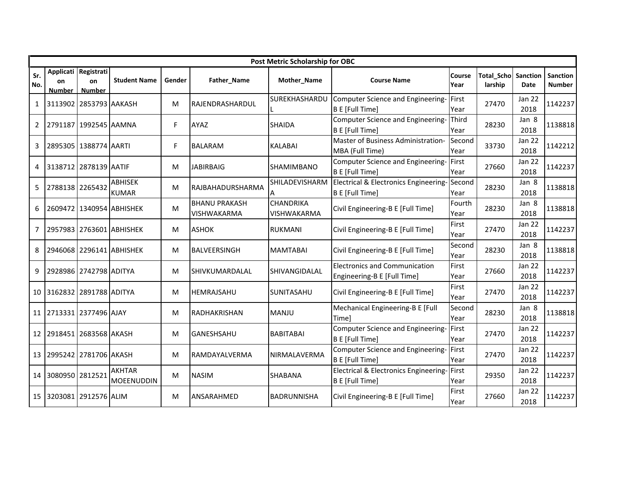|              |                           |                                             |                                |        |                                     | Post Metric Scholarship for OBC |                                                                     |                |                              |                       |                    |
|--------------|---------------------------|---------------------------------------------|--------------------------------|--------|-------------------------------------|---------------------------------|---------------------------------------------------------------------|----------------|------------------------------|-----------------------|--------------------|
| Sr.<br>No.   | on<br><b>Number</b>       | Applicati Registrati<br>on<br><b>Number</b> | <b>Student Name</b>            | Gender | Father_Name                         | Mother_Name                     | <b>Course Name</b>                                                  | Course<br>Year | <b>Total Scho</b><br>larship | Sanction<br>Date      | Sanction<br>Number |
| $\mathbf{1}$ | 3113902 2853793 AAKASH    |                                             |                                | М      | RAJENDRASHARDUL                     | SUREKHASHARDU                   | Computer Science and Engineering-<br>B E [Full Time]                | First<br>Year  | 27470                        | Jan 22<br>2018        | 1142237            |
| $\mathbf{2}$ | 2791187 1992545 AAMNA     |                                             |                                | F.     | AYAZ                                | <b>SHAIDA</b>                   | Computer Science and Engineering-<br>B E [Full Time]                | Third<br>Year  | 28230                        | Jan 8<br>2018         | 1138818            |
| 3            |                           | 2895305 1388774 AARTI                       |                                | F.     | <b>BALARAM</b>                      | <b>KALABAI</b>                  | Master of Business Administration-<br>MBA (Full Time)               | Second<br>Year | 33730                        | <b>Jan 22</b><br>2018 | 1142212            |
| 4            | 3138712 2878139 AATIF     |                                             |                                | М      | <b>JABIRBAIG</b>                    | <b>SHAMIMBANO</b>               | Computer Science and Engineering-<br>B E [Full Time]                | First<br>Year  | 27660                        | <b>Jan 22</b><br>2018 | 1142237            |
| 5            | 2788138 2265432           |                                             | <b>ABHISEK</b><br><b>KUMAR</b> | M      | RAJBAHADURSHARMA                    | SHILADEVISHARM                  | Electrical & Electronics Engineering-<br>B E [Full Time]            | Second<br>Year | 28230                        | Jan 8<br>2018         | 1138818            |
| 6            |                           |                                             | 2609472 1340954 ABHISHEK       | M      | <b>BHANU PRAKASH</b><br>VISHWAKARMA | <b>CHANDRIKA</b><br>VISHWAKARMA | Civil Engineering-B E [Full Time]                                   | Fourth<br>Year | 28230                        | Jan 8<br>2018         | 1138818            |
| 7            |                           |                                             | 2957983 2763601 ABHISHEK       | М      | <b>ASHOK</b>                        | <b>RUKMANI</b>                  | Civil Engineering-B E [Full Time]                                   | First<br>Year  | 27470                        | <b>Jan 22</b><br>2018 | 1142237            |
| 8            |                           |                                             | 2946068 2296141 ABHISHEK       | M      | BALVEERSINGH                        | <b>MAMTABAI</b>                 | Civil Engineering-B E [Full Time]                                   | Second<br>Year | 28230                        | Jan 8<br>2018         | 1138818            |
| 9            |                           | 2928986 2742798 ADITYA                      |                                | M      | SHIVKUMARDALAL                      | SHIVANGIDALAL                   | <b>Electronics and Communication</b><br>Engineering-B E [Full Time] | First<br>Year  | 27660                        | Jan 22<br>2018        | 1142237            |
|              | 10 3162832 2891788 ADITYA |                                             |                                | М      | <b>HEMRAJSAHU</b>                   | SUNITASAHU                      | Civil Engineering-B E [Full Time]                                   | First<br>Year  | 27470                        | <b>Jan 22</b><br>2018 | 1142237            |
|              | 11 2713331 2377496 AJAY   |                                             |                                | М      | RADHAKRISHAN                        | <b>MANJU</b>                    | Mechanical Engineering-B E [Full<br><b>Time</b>                     | Second<br>Year | 28230                        | Jan 8<br>2018         | 1138818            |
|              | 12 2918451 2683568 AKASH  |                                             |                                | M      | <b>GANESHSAHU</b>                   | <b>BABITABAI</b>                | Computer Science and Engineering-<br>B E [Full Time]                | First<br>Year  | 27470                        | <b>Jan 22</b><br>2018 | 1142237            |
|              | 13 2995242 2781706 AKASH  |                                             |                                | М      | RAMDAYALVERMA                       | <b>NIRMALAVERMA</b>             | Computer Science and Engineering-<br>B E [Full Time]                | First<br>Year  | 27470                        | <b>Jan 22</b><br>2018 | 1142237            |
| 14           | 3080950 2812521           |                                             | <b>AKHTAR</b><br>MOEENUDDIN    | M      | <b>NASIM</b>                        | <b>SHABANA</b>                  | Electrical & Electronics Engineering-<br>B E [Full Time]            | First<br>Year  | 29350                        | Jan 22<br>2018        | 1142237            |
| 15           | 3203081 2912576 ALIM      |                                             |                                | M      | ANSARAHMED                          | <b>BADRUNNISHA</b>              | Civil Engineering-B E [Full Time]                                   | First<br>Year  | 27660                        | Jan 22<br>2018        | 1142237            |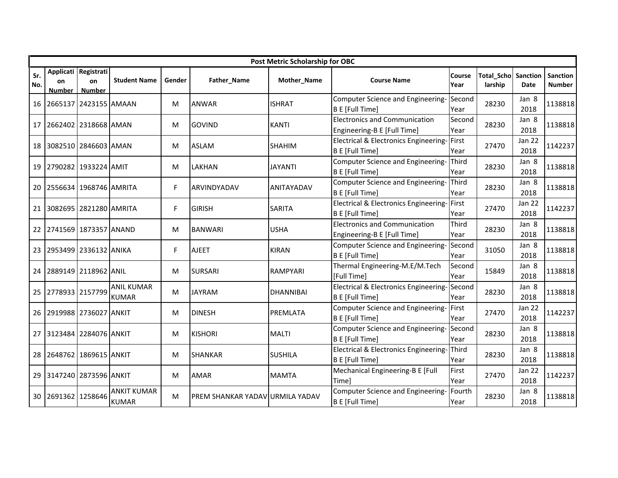|            |                            |                                             |                                    |        |                                        | Post Metric Scholarship for OBC |                                                                     |                      |                              |                       |                                  |
|------------|----------------------------|---------------------------------------------|------------------------------------|--------|----------------------------------------|---------------------------------|---------------------------------------------------------------------|----------------------|------------------------------|-----------------------|----------------------------------|
| Sr.<br>No. | <b>on</b><br><b>Number</b> | Applicati Registrati<br>on<br><b>Number</b> | <b>Student Name</b>                | Gender | Father_Name                            | Mother_Name                     | <b>Course Name</b>                                                  | Course<br>Year       | <b>Total Scho</b><br>larship | Sanction<br>Date      | <b>Sanction</b><br><b>Number</b> |
| 16         |                            | 2665137 2423155 AMAAN                       |                                    | м      | <b>ANWAR</b>                           | <b>ISHRAT</b>                   | Computer Science and Engineering-<br><b>B E</b> [Full Time]         | Second<br>Year       | 28230                        | Jan 8<br>2018         | 1138818                          |
| 17         |                            | 2662402 2318668 AMAN                        |                                    | M      | <b>GOVIND</b>                          | <b>KANTI</b>                    | <b>Electronics and Communication</b><br>Engineering-B E [Full Time] | Second<br>Year       | 28230                        | Jan 8<br>2018         | 1138818                          |
| 18         |                            | 3082510 2846603 AMAN                        |                                    | M      | <b>ASLAM</b>                           | <b>SHAHIM</b>                   | Electrical & Electronics Engineering-<br><b>B E [Full Time]</b>     | First<br>Year        | 27470                        | Jan 22<br>2018        | 1142237                          |
| 19         |                            | 2790282 1933224 AMIT                        |                                    | м      | <b>LAKHAN</b>                          | <b>JAYANTI</b>                  | Computer Science and Engineering-<br>B E [Full Time]                | Third<br>Year        | 28230                        | Jan 8<br>2018         | 1138818                          |
| 20         |                            | 2556634 1968746 AMRITA                      |                                    | F      | ARVINDYADAV                            | ANITAYADAV                      | Computer Science and Engineering-<br><b>B E [Full Time]</b>         | Third<br>Year        | 28230                        | Jan 8<br>2018         | 1138818                          |
| 21         |                            | 3082695 2821280 AMRITA                      |                                    | F      | <b>GIRISH</b>                          | <b>SARITA</b>                   | Electrical & Electronics Engineering-<br>B E [Full Time]            | First<br>Year        | 27470                        | <b>Jan 22</b><br>2018 | 1142237                          |
| 22         |                            | 2741569 1873357 ANAND                       |                                    | M      | <b>BANWARI</b>                         | <b>USHA</b>                     | <b>Electronics and Communication</b><br>Engineering-B E [Full Time] | Third<br>Year        | 28230                        | Jan 8<br>2018         | 1138818                          |
| 23         |                            | 2953499 2336132 ANIKA                       |                                    | F      | <b>AJEET</b>                           | <b>KIRAN</b>                    | Computer Science and Engineering-<br><b>B E</b> [Full Time]         | Second<br>Year       | 31050                        | Jan 8<br>2018         | 1138818                          |
| 24         |                            | 2889149 2118962 ANIL                        |                                    | M      | <b>SURSARI</b>                         | RAMPYARI                        | Thermal Engineering-M.E/M.Tech<br>[Full Time]                       | Second<br>Year       | 15849                        | Jan 8<br>2018         | 1138818                          |
| 25         | 2778933 2157799            |                                             | <b>ANIL KUMAR</b><br><b>KUMAR</b>  | M      | <b>JAYRAM</b>                          | <b>DHANNIBAI</b>                | Electrical & Electronics Engineering-<br><b>B E</b> [Full Time]     | Second<br>Year       | 28230                        | Jan 8<br>2018         | 1138818                          |
| 26         |                            | 2919988 2736027 ANKIT                       |                                    | м      | <b>DINESH</b>                          | PREMLATA                        | Computer Science and Engineering-<br><b>B E [Full Time]</b>         | First<br>Year        | 27470                        | Jan 22<br>2018        | 1142237                          |
| 27         |                            | 3123484 2284076 ANKIT                       |                                    | M      | <b>KISHORI</b>                         | <b>MALTI</b>                    | Computer Science and Engineering-<br><b>B E [Full Time]</b>         | Second<br>Year       | 28230                        | Jan 8<br>2018         | 1138818                          |
| 28         |                            | 2648762 1869615 ANKIT                       |                                    | м      | <b>SHANKAR</b>                         | <b>SUSHILA</b>                  | Electrical & Electronics Engineering-<br><b>B E</b> [Full Time]     | <b>Third</b><br>Year | 28230                        | Jan 8<br>2018         | 1138818                          |
| 29         |                            | 3147240 2873596 ANKIT                       |                                    | м      | <b>AMAR</b>                            | <b>MAMTA</b>                    | Mechanical Engineering-B E [Full<br>Timel                           | First<br>Year        | 27470                        | Jan 22<br>2018        | 1142237                          |
| 30         | 2691362 1258646            |                                             | <b>ANKIT KUMAR</b><br><b>KUMAR</b> | М      | <b>PREM SHANKAR YADAV URMILA YADAV</b> |                                 | Computer Science and Engineering-<br><b>B E</b> [Full Time]         | Fourth<br>Year       | 28230                        | Jan 8<br>2018         | 1138818                          |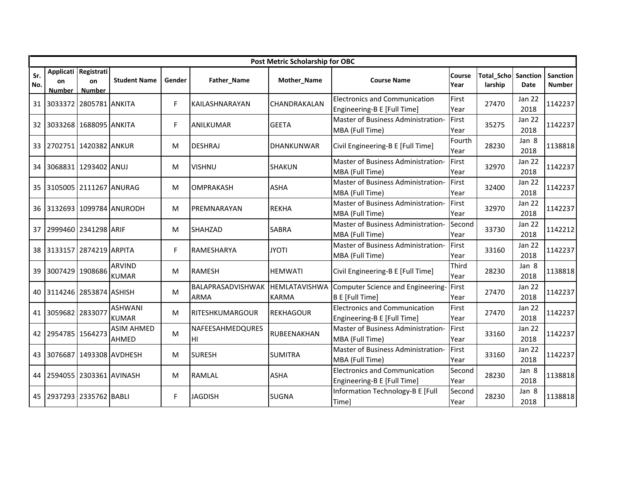|            |                            |                                             |                                   |        |                                  | Post Metric Scholarship for OBC      |                                                                     |                |                              |                       |                           |
|------------|----------------------------|---------------------------------------------|-----------------------------------|--------|----------------------------------|--------------------------------------|---------------------------------------------------------------------|----------------|------------------------------|-----------------------|---------------------------|
| Sr.<br>No. | on<br><b>Number</b>        | Applicati Registrati<br>on<br><b>Number</b> | <b>Student Name</b>               | Gender | Father_Name                      | Mother_Name                          | <b>Course Name</b>                                                  | Course<br>Year | <b>Total Scho</b><br>larship | Sanction<br>Date      | Sanction<br><b>Number</b> |
|            | 31 3033372 2805781 ANKITA  |                                             |                                   | F      | KAILASHNARAYAN                   | CHANDRAKALAN                         | <b>Electronics and Communication</b><br>Engineering-B E [Full Time] | First<br>Year  | 27470                        | <b>Jan 22</b><br>2018 | 1142237                   |
|            | 32 3033268 1688095 ANKITA  |                                             |                                   | F.     | <b>ANILKUMAR</b>                 | <b>GEETA</b>                         | Master of Business Administration-<br>MBA (Full Time)               | First<br>Year  | 35275                        | Jan 22<br>2018        | 1142237                   |
|            | 33 2702751 1420382 ANKUR   |                                             |                                   | M      | <b>DESHRAJ</b>                   | <b>DHANKUNWAR</b>                    | Civil Engineering-B E [Full Time]                                   | Fourth<br>Year | 28230                        | Jan 8<br>2018         | 1138818                   |
|            | 34 3068831 1293402 ANUJ    |                                             |                                   | M      | <b>VISHNU</b>                    | <b>SHAKUN</b>                        | Master of Business Administration-<br>MBA (Full Time)               | First<br>Year  | 32970                        | Jan 22<br>2018        | 1142237                   |
|            | 35 3105005 2111267 ANURAG  |                                             |                                   | M      | <b>OMPRAKASH</b>                 | <b>ASHA</b>                          | Master of Business Administration-<br>MBA (Full Time)               | First<br>Year  | 32400                        | Jan 22<br>2018        | 1142237                   |
|            |                            |                                             | 36 3132693 1099784 ANURODH        | M      | PREMNARAYAN                      | <b>REKHA</b>                         | Master of Business Administration-<br>MBA (Full Time)               | First<br>Year  | 32970                        | <b>Jan 22</b><br>2018 | 1142237                   |
|            | 37 2999460 2341298 ARIF    |                                             |                                   | M      | <b>SHAHZAD</b>                   | <b>SABRA</b>                         | Master of Business Administration-<br>MBA (Full Time)               | Second<br>Year | 33730                        | <b>Jan 22</b><br>2018 | 1142212                   |
|            | 38 3133157 2874219 ARPITA  |                                             |                                   | F      | RAMESHARYA                       | <b>JYOTI</b>                         | Master of Business Administration-<br>MBA (Full Time)               | First<br>Year  | 33160                        | Jan 22<br>2018        | 1142237                   |
| 39         | 3007429 1908686            |                                             | <b>ARVIND</b><br><b>KUMAR</b>     | M      | <b>RAMESH</b>                    | <b>HEMWATI</b>                       | Civil Engineering-B E [Full Time]                                   | Third<br>Year  | 28230                        | Jan 8<br>2018         | 1138818                   |
| 40         | 3114246 2853874 ASHISH     |                                             |                                   | M      | BALAPRASADVISHWAK<br><b>ARMA</b> | <b>HEMLATAVISHWA</b><br><b>KARMA</b> | Computer Science and Engineering-<br>B E [Full Time]                | First<br>Year  | 27470                        | <b>Jan 22</b><br>2018 | 1142237                   |
|            | 41 3059682 2833077         |                                             | <b>ASHWANI</b><br><b>KUMAR</b>    | М      | RITESHKUMARGOUR                  | <b>REKHAGOUR</b>                     | <b>Electronics and Communication</b><br>Engineering-B E [Full Time] | First<br>Year  | 27470                        | Jan 22<br>2018        | 1142237                   |
|            | 42 2954785 1564273         |                                             | <b>ASIM AHMED</b><br><b>AHMED</b> | M      | NAFEESAHMEDQURES<br>HI           | RUBEENAKHAN                          | Master of Business Administration-<br>MBA (Full Time)               | First<br>Year  | 33160                        | <b>Jan 22</b><br>2018 | 1142237                   |
|            |                            |                                             | 43 3076687 1493308 AVDHESH        | M      | <b>SURESH</b>                    | <b>SUMITRA</b>                       | Master of Business Administration-<br>MBA (Full Time)               | First<br>Year  | 33160                        | <b>Jan 22</b><br>2018 | 1142237                   |
|            | 44 2594055 2303361 AVINASH |                                             |                                   | M      | <b>RAMLAL</b>                    | <b>ASHA</b>                          | <b>Electronics and Communication</b><br>Engineering-B E [Full Time] | Second<br>Year | 28230                        | Jan 8<br>2018         | 1138818                   |
|            | 45 2937293 2335762 BABLI   |                                             |                                   | F.     | <b>JAGDISH</b>                   | <b>SUGNA</b>                         | Information Technology-B E [Full<br>Time]                           | Second<br>Year | 28230                        | Jan 8<br>2018         | 1138818                   |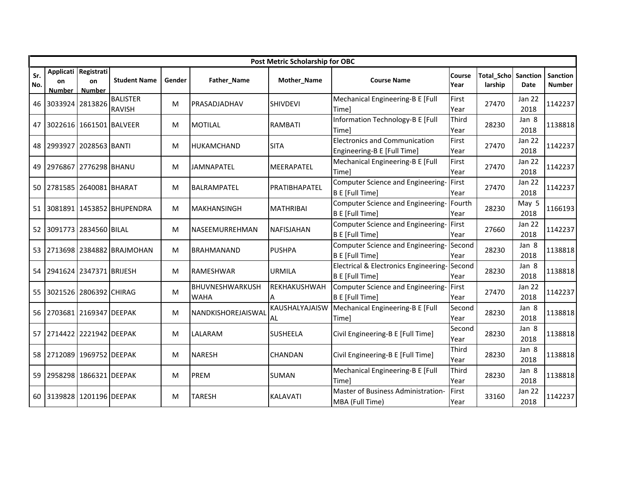|            |                           |                                             |                                  |        |                                | Post Metric Scholarship for OBC |                                                                     |                |                              |                       |                           |
|------------|---------------------------|---------------------------------------------|----------------------------------|--------|--------------------------------|---------------------------------|---------------------------------------------------------------------|----------------|------------------------------|-----------------------|---------------------------|
| Sr.<br>No. | on<br><b>Number</b>       | Applicati Registrati<br>on<br><b>Number</b> | <b>Student Name</b>              | Gender | Father_Name                    | Mother_Name                     | <b>Course Name</b>                                                  | Course<br>Year | <b>Total Scho</b><br>larship | Sanction<br>Date      | Sanction<br><b>Number</b> |
| 46         | 3033924 2813826           |                                             | <b>BALISTER</b><br><b>RAVISH</b> | м      | PRASADJADHAV                   | <b>SHIVDEVI</b>                 | Mechanical Engineering-B E [Full<br>Time]                           | First<br>Year  | 27470                        | Jan 22<br>2018        | 1142237                   |
| 47         | 3022616 1661501 BALVEER   |                                             |                                  | М      | <b>MOTILAL</b>                 | <b>RAMBATI</b>                  | Information Technology-B E [Full<br>Timel                           | Third<br>Year  | 28230                        | Jan 8<br>2018         | 1138818                   |
| 48         | 2993927 2028563 BANTI     |                                             |                                  | М      | <b>HUKAMCHAND</b>              | <b>SITA</b>                     | <b>Electronics and Communication</b><br>Engineering-B E [Full Time] | First<br>Year  | 27470                        | Jan 22<br>2018        | 1142237                   |
| 49         | 2976867 2776298 BHANU     |                                             |                                  | м      | <b>JAMNAPATEL</b>              | <b>MEERAPATEL</b>               | Mechanical Engineering-B E [Full<br>Time]                           | First<br>Year  | 27470                        | <b>Jan 22</b><br>2018 | 1142237                   |
| 50         | 2781585 2640081 BHARAT    |                                             |                                  | М      | <b>BALRAMPATEL</b>             | PRATIBHAPATEL                   | Computer Science and Engineering-<br><b>B E</b> [Full Time]         | First<br>Year  | 27470                        | <b>Jan 22</b><br>2018 | 1142237                   |
| 51         |                           |                                             | 3081891 1453852 BHUPENDRA        | М      | <b>MAKHANSINGH</b>             | <b>MATHRIBAI</b>                | Computer Science and Engineering- Fourth<br><b>B E [Full Time]</b>  | Year           | 28230                        | May 5<br>2018         | 1166193                   |
| 52         |                           | 3091773 2834560 BILAL                       |                                  | M      | NASEEMURREHMAN                 | NAFISJAHAN                      | Computer Science and Engineering-<br><b>B E [Full Time]</b>         | First<br>Year  | 27660                        | Jan 22<br>2018        | 1142237                   |
| 53         |                           |                                             | 2713698 2384882 BRAJMOHAN        | M      | <b>BRAHMANAND</b>              | <b>PUSHPA</b>                   | Computer Science and Engineering-<br><b>B E [Full Time]</b>         | Second<br>Year | 28230                        | Jan 8<br>2018         | 1138818                   |
| 54         | 2941624 2347371 BRIJESH   |                                             |                                  | М      | <b>RAMESHWAR</b>               | <b>URMILA</b>                   | Electrical & Electronics Engineering-<br><b>B E [Full Time]</b>     | Second<br>Year | 28230                        | Jan 8<br>2018         | 1138818                   |
| 55         |                           | 3021526 2806392 CHIRAG                      |                                  | M      | BHUVNESHWARKUSH<br><b>WAHA</b> | REKHAKUSHWAH                    | Computer Science and Engineering-<br><b>B E [Full Time]</b>         | First<br>Year  | 27470                        | Jan 22<br>2018        | 1142237                   |
| 56         | 2703681 2169347 DEEPAK    |                                             |                                  | M      | NANDKISHOREJAISWAL             | KAUSHALYAJAISW<br>AL            | Mechanical Engineering-B E [Full<br>Time]                           | Second<br>Year | 28230                        | Jan 8<br>2018         | 1138818                   |
| 57         | 2714422 2221942 DEEPAK    |                                             |                                  | М      | LALARAM                        | <b>SUSHEELA</b>                 | Civil Engineering-B E [Full Time]                                   | Second<br>Year | 28230                        | Jan 8<br>2018         | 1138818                   |
|            | 58 2712089 1969752 DEEPAK |                                             |                                  | м      | <b>NARESH</b>                  | <b>CHANDAN</b>                  | Civil Engineering-B E [Full Time]                                   | Third<br>Year  | 28230                        | Jan 8<br>2018         | 1138818                   |
| 59         | 2958298 1866321 DEEPAK    |                                             |                                  | M      | PREM                           | <b>SUMAN</b>                    | Mechanical Engineering-B E [Full<br>Timel                           | Third<br>Year  | 28230                        | Jan 8<br>2018         | 1138818                   |
| 60         | 3139828 1201196 DEEPAK    |                                             |                                  | M      | <b>TARESH</b>                  | <b>KALAVATI</b>                 | Master of Business Administration-<br>MBA (Full Time)               | First<br>Year  | 33160                        | <b>Jan 22</b><br>2018 | 1142237                   |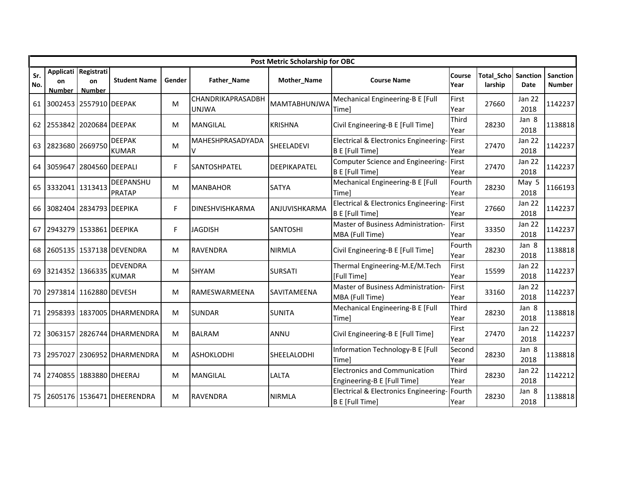|            |                     |                                             |                                   |        |                                   | Post Metric Scholarship for OBC |                                                                     |                |                              |                         |                           |
|------------|---------------------|---------------------------------------------|-----------------------------------|--------|-----------------------------------|---------------------------------|---------------------------------------------------------------------|----------------|------------------------------|-------------------------|---------------------------|
| Sr.<br>No. | on<br><b>Number</b> | Applicati Registrati<br>on<br><b>Number</b> | <b>Student Name</b>               | Gender | Father_Name                       | Mother_Name                     | <b>Course Name</b>                                                  | Course<br>Year | <b>Total Scho</b><br>larship | Sanction<br><b>Date</b> | Sanction<br><b>Number</b> |
|            |                     | 61 3002453 2557910 DEEPAK                   |                                   | M      | CHANDRIKAPRASADBH<br><b>UNJWA</b> | <b>MAMTABHUNJWA</b>             | Mechanical Engineering-B E [Full<br>Time]                           | First<br>Year  | 27660                        | Jan 22<br>2018          | 1142237                   |
|            |                     | 62 2553842 2020684 DEEPAK                   |                                   | М      | <b>MANGILAL</b>                   | <b>KRISHNA</b>                  | Civil Engineering-B E [Full Time]                                   | Third<br>Year  | 28230                        | Jan 8<br>2018           | 1138818                   |
| 63         | 2823680 2669750     |                                             | <b>DEEPAK</b><br><b>KUMAR</b>     | M      | MAHESHPRASADYADA<br>$\vee$        | SHEELADEVI                      | <b>Electrical &amp; Electronics Engineering-</b><br>B E [Full Time] | First<br>Year  | 27470                        | Jan 22<br>2018          | 1142237                   |
|            |                     | 64 3059647 2804560 DEEPALI                  |                                   | F.     | <b>SANTOSHPATEL</b>               | <b>DEEPIKAPATEL</b>             | Computer Science and Engineering-<br>B E [Full Time]                | First<br>Year  | 27470                        | Jan 22<br>2018          | 1142237                   |
|            | 65 3332041 1313413  |                                             | <b>DEEPANSHU</b><br><b>PRATAP</b> | M      | <b>MANBAHOR</b>                   | <b>SATYA</b>                    | Mechanical Engineering-B E [Full<br>Time]                           | Fourth<br>Year | 28230                        | May 5<br>2018           | 1166193                   |
|            |                     | 66 3082404 2834793 DEEPIKA                  |                                   | F.     | DINESHVISHKARMA                   | ANJUVISHKARMA                   | Electrical & Electronics Engineering-First<br>B E [Full Time]       | Year           | 27660                        | <b>Jan 22</b><br>2018   | 1142237                   |
|            |                     | 67 2943279 1533861 DEEPIKA                  |                                   | F.     | <b>JAGDISH</b>                    | <b>SANTOSHI</b>                 | Master of Business Administration-<br>MBA (Full Time)               | First<br>Year  | 33350                        | Jan 22<br>2018          | 1142237                   |
|            |                     |                                             | 68 2605135 1537138 DEVENDRA       | M      | <b>RAVENDRA</b>                   | <b>NIRMLA</b>                   | Civil Engineering-B E [Full Time]                                   | Fourth<br>Year | 28230                        | Jan 8<br>2018           | 1138818                   |
| 69         | 3214352 1366335     |                                             | <b>DEVENDRA</b><br><b>KUMAR</b>   | М      | <b>SHYAM</b>                      | <b>SURSATI</b>                  | Thermal Engineering-M.E/M.Tech<br>[Full Time]                       | First<br>Year  | 15599                        | Jan 22<br>2018          | 1142237                   |
|            |                     | 70 2973814 1162880 DEVESH                   |                                   | M      | RAMESWARMEENA                     | SAVITAMEENA                     | Master of Business Administration-<br>MBA (Full Time)               | First<br>Year  | 33160                        | <b>Jan 22</b><br>2018   | 1142237                   |
|            |                     |                                             | 71 2958393 1837005 DHARMENDRA     | М      | <b>SUNDAR</b>                     | <b>SUNITA</b>                   | Mechanical Engineering-B E [Full<br>Time]                           | Third<br>Year  | 28230                        | Jan 8<br>2018           | 1138818                   |
|            |                     |                                             | 72 3063157 2826744 DHARMENDRA     | M      | <b>BALRAM</b>                     | ANNU                            | Civil Engineering-B E [Full Time]                                   | First<br>Year  | 27470                        | <b>Jan 22</b><br>2018   | 1142237                   |
|            |                     |                                             | 73 2957027 2306952 DHARMENDRA     | M      | <b>ASHOKLODHI</b>                 | SHEELALODHI                     | Information Technology-B E [Full<br> Time]                          | Second<br>Year | 28230                        | Jan 8<br>2018           | 1138818                   |
|            |                     | 74 2740855 1883880 DHEERAJ                  |                                   | М      | <b>MANGILAL</b>                   | LALTA                           | <b>Electronics and Communication</b><br>Engineering-B E [Full Time] | Third<br>Year  | 28230                        | Jan 22<br>2018          | 1142212                   |
|            |                     |                                             | 75 2605176 1536471 DHEERENDRA     | M      | <b>RAVENDRA</b>                   | <b>NIRMLA</b>                   | Electrical & Electronics Engineering-<br><b>B E</b> [Full Time]     | Fourth<br>Year | 28230                        | Jan 8<br>2018           | 1138818                   |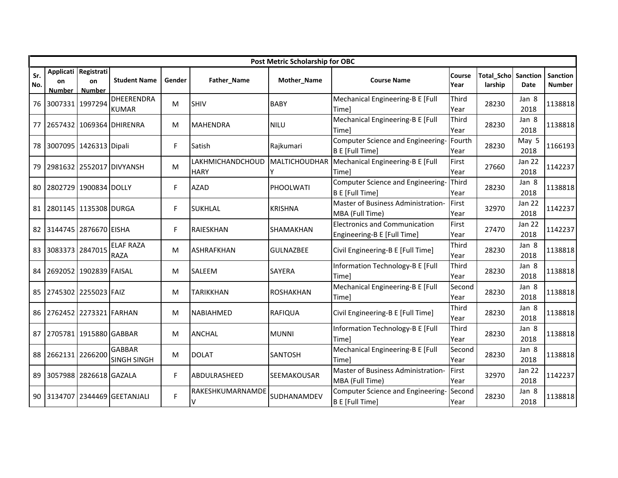|            |                        |                                             |                                     |        |                                 | Post Metric Scholarship for OBC |                                                                     |                |                       |                       |                    |
|------------|------------------------|---------------------------------------------|-------------------------------------|--------|---------------------------------|---------------------------------|---------------------------------------------------------------------|----------------|-----------------------|-----------------------|--------------------|
| Sr.<br>No. | on<br><b>Number</b>    | Applicati Registrati<br>on<br><b>Number</b> | <b>Student Name</b>                 | Gender | Father_Name                     | Mother_Name                     | <b>Course Name</b>                                                  | Course<br>Year | Total Scho<br>larship | Sanction<br>Date      | Sanction<br>Number |
| 76         | 3007331 1997294        |                                             | <b>DHEERENDRA</b><br><b>KUMAR</b>   | м      | <b>SHIV</b>                     | <b>BABY</b>                     | Mechanical Engineering-B E [Full<br>Timel                           | Third<br>Year  | 28230                 | Jan 8<br>2018         | 1138818            |
| 77         |                        |                                             | 2657432 1069364 DHIRENRA            | M      | <b>MAHENDRA</b>                 | <b>NILU</b>                     | Mechanical Engineering-B E [Full<br>Timel                           | Third<br>Year  | 28230                 | Jan 8<br>2018         | 1138818            |
| 78         | 3007095 1426313 Dipali |                                             |                                     | F.     | Satish                          | Rajkumari                       | Computer Science and Engineering-<br><b>B E [Full Time]</b>         | Fourth<br>Year | 28230                 | May 5<br>2018         | 1166193            |
| 79         |                        |                                             | 2981632 2552017 DIVYANSH            | M      | LAKHMICHANDCHOUD<br><b>HARY</b> |                                 | MALTICHOUDHAR   Mechanical Engineering-B E [Full<br>Time]           | First<br>Year  | 27660                 | <b>Jan 22</b><br>2018 | 1142237            |
| 80         |                        | 2802729 1900834 DOLLY                       |                                     | F.     | <b>AZAD</b>                     | PHOOLWATI                       | Computer Science and Engineering-<br><b>B E [Full Time]</b>         | Third<br>Year  | 28230                 | Jan 8<br>2018         | 1138818            |
| 81         | 2801145 1135308 DURGA  |                                             |                                     | F.     | <b>SUKHLAL</b>                  | <b>KRISHNA</b>                  | Master of Business Administration-<br>MBA (Full Time)               | First<br>Year  | 32970                 | Jan 22<br>2018        | 1142237            |
| 82         | 3144745 2876670 EISHA  |                                             |                                     | F.     | RAIESKHAN                       | SHAMAKHAN                       | <b>Electronics and Communication</b><br>Engineering-B E [Full Time] | First<br>Year  | 27470                 | Jan 22<br>2018        | 1142237            |
| 83         | 3083373 2847015        |                                             | <b>ELAF RAZA</b><br><b>RAZA</b>     | M      | <b>ASHRAFKHAN</b>               | <b>GULNAZBEE</b>                | Civil Engineering-B E [Full Time]                                   | Third<br>Year  | 28230                 | Jan 8<br>2018         | 1138818            |
| 84         | 2692052 1902839 FAISAL |                                             |                                     | м      | <b>SALEEM</b>                   | <b>SAYERA</b>                   | Information Technology-B E [Full<br>Timel                           | Third<br>Year  | 28230                 | Jan 8<br>2018         | 1138818            |
| 85         | 2745302 2255023 FAIZ   |                                             |                                     | M      | <b>TARIKKHAN</b>                | <b>ROSHAKHAN</b>                | Mechanical Engineering-B E [Full<br>Time]                           | Second<br>Year | 28230                 | Jan 8<br>2018         | 1138818            |
| 86         | 2762452 2273321 FARHAN |                                             |                                     | м      | <b>NABIAHMED</b>                | <b>RAFIQUA</b>                  | Civil Engineering-B E [Full Time]                                   | Third<br>Year  | 28230                 | Jan 8<br>2018         | 1138818            |
| 87         | 2705781 1915880 GABBAR |                                             |                                     | М      | <b>ANCHAL</b>                   | <b>MUNNI</b>                    | Information Technology-B E [Full<br>Timel                           | Third<br>Year  | 28230                 | Jan 8<br>2018         | 1138818            |
| 88         | 2662131 2266200        |                                             | <b>GABBAR</b><br><b>SINGH SINGH</b> | M      | <b>DOLAT</b>                    | <b>SANTOSH</b>                  | Mechanical Engineering-B E [Full<br>Timel                           | Second<br>Year | 28230                 | Jan 8<br>2018         | 1138818            |
| 89         | 3057988 2826618 GAZALA |                                             |                                     | F.     | ABDULRASHEED                    | SEEMAKOUSAR                     | Master of Business Administration-<br>MBA (Full Time)               | First<br>Year  | 32970                 | Jan 22<br>2018        | 1142237            |
| 90         | 3134707                |                                             | 2344469 GEETANJALI                  | F      | RAKESHKUMARNAMDE<br>v           | SUDHANAMDEV                     | Computer Science and Engineering-<br><b>B E</b> [Full Time]         | Second<br>Year | 28230                 | Jan 8<br>2018         | 1138818            |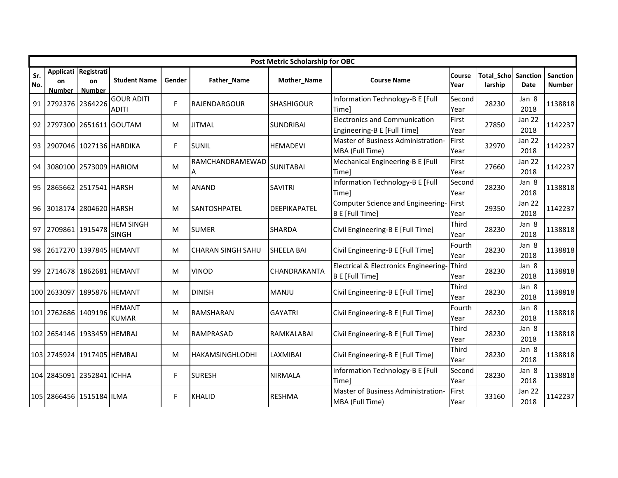|            |                     |                                             |                                   |        |                          | Post Metric Scholarship for OBC |                                                                     |                |                       |                       |                           |
|------------|---------------------|---------------------------------------------|-----------------------------------|--------|--------------------------|---------------------------------|---------------------------------------------------------------------|----------------|-----------------------|-----------------------|---------------------------|
| Sr.<br>No. | on<br><b>Number</b> | Applicati Registrati<br>on<br><b>Number</b> | <b>Student Name</b>               | Gender | Father_Name              | Mother_Name                     | <b>Course Name</b>                                                  | Course<br>Year | Total Scho<br>larship | Sanction<br>Date      | Sanction<br><b>Number</b> |
| 91         | 2792376 2364226     |                                             | <b>GOUR ADITI</b><br><b>ADITI</b> | F.     | RAJENDARGOUR             | <b>SHASHIGOUR</b>               | Information Technology-B E [Full<br>Time]                           | Second<br>Year | 28230                 | Jan 8<br>2018         | 1138818                   |
| 92         |                     |                                             | 2797300 2651611 GOUTAM            | M      | <b>JITMAL</b>            | <b>SUNDRIBAI</b>                | <b>Electronics and Communication</b><br>Engineering-B E [Full Time] | First<br>Year  | 27850                 | Jan 22<br>2018        | 1142237                   |
| 93         |                     | 2907046 1027136 HARDIKA                     |                                   | F.     | <b>SUNIL</b>             | <b>HEMADEVI</b>                 | Master of Business Administration-<br>MBA (Full Time)               | First<br>Year  | 32970                 | Jan 22<br>2018        | 1142237                   |
| 94         |                     | 3080100 2573009 HARIOM                      |                                   | M      | RAMCHANDRAMEWAD<br>Α     | <b>SUNITABAI</b>                | Mechanical Engineering-B E [Full<br>Time]                           | First<br>Year  | 27660                 | <b>Jan 22</b><br>2018 | 1142237                   |
| 95         |                     | 2865662 2517541 HARSH                       |                                   | М      | <b>ANAND</b>             | <b>SAVITRI</b>                  | Information Technology-B E [Full<br>Timel                           | Second<br>Year | 28230                 | Jan 8<br>2018         | 1138818                   |
| 96         |                     | 3018174 2804620 HARSH                       |                                   | м      | <b>ISANTOSHPATEL</b>     | <b>DEEPIKAPATEL</b>             | Computer Science and Engineering-<br>B E [Full Time]                | First<br>Year  | 29350                 | Jan 22<br>2018        | 1142237                   |
| 97         | 2709861 1915478     |                                             | <b>HEM SINGH</b><br><b>SINGH</b>  | М      | <b>SUMER</b>             | <b>SHARDA</b>                   | Civil Engineering-B E [Full Time]                                   | Third<br>Year  | 28230                 | Jan 8<br>2018         | 1138818                   |
| 98         |                     | 2617270 1397845 HEMANT                      |                                   | M      | <b>CHARAN SINGH SAHU</b> | <b>SHEELA BAI</b>               | Civil Engineering-B E [Full Time]                                   | Fourth<br>Year | 28230                 | Jan 8<br>2018         | 1138818                   |
| 99         |                     | 2714678 1862681 HEMANT                      |                                   | м      | <b>VINOD</b>             | CHANDRAKANTA                    | Electrical & Electronics Engineering-<br><b>B E [Full Time]</b>     | Third<br>Year  | 28230                 | Jan 8<br>2018         | 1138818                   |
|            | 100 2633097         |                                             | 1895876 HEMANT                    | м      | <b>DINISH</b>            | <b>MANJU</b>                    | Civil Engineering-B E [Full Time]                                   | Third<br>Year  | 28230                 | Jan 8<br>2018         | 1138818                   |
|            | 101 2762686 1409196 |                                             | <b>HEMANT</b><br><b>KUMAR</b>     | М      | <b>RAMSHARAN</b>         | <b>GAYATRI</b>                  | Civil Engineering-B E [Full Time]                                   | Fourth<br>Year | 28230                 | Jan 8<br>2018         | 1138818                   |
|            |                     | 102 2654146 1933459 HEMRAJ                  |                                   | М      | <b>RAMPRASAD</b>         | RAMKALABAI                      | Civil Engineering-B E [Full Time]                                   | Third<br>Year  | 28230                 | Jan 8<br>2018         | 1138818                   |
|            |                     | 103 2745924 1917405 HEMRAJ                  |                                   | М      | HAKAMSINGHLODHI          | LAXMIBAI                        | Civil Engineering-B E [Full Time]                                   | Third<br>Year  | 28230                 | Jan 8<br>2018         | 1138818                   |
|            |                     | 104 2845091 2352841 ICHHA                   |                                   | F      | <b>SURESH</b>            | <b>NIRMALA</b>                  | Information Technology-B E [Full<br>Timel                           | Second<br>Year | 28230                 | Jan 8<br>2018         | 1138818                   |
|            |                     | 105 2866456 1515184 ILMA                    |                                   | F.     | <b>KHALID</b>            | <b>RESHMA</b>                   | Master of Business Administration-<br>MBA (Full Time)               | First<br>Year  | 33160                 | Jan 22<br>2018        | 1142237                   |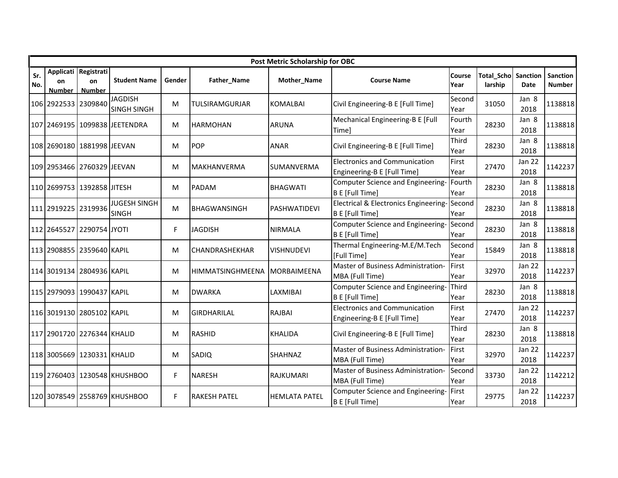|            |                            |                                      |                                      |        |                     | Post Metric Scholarship for OBC |                                                                     |                |                              |                       |                           |
|------------|----------------------------|--------------------------------------|--------------------------------------|--------|---------------------|---------------------------------|---------------------------------------------------------------------|----------------|------------------------------|-----------------------|---------------------------|
| Sr.<br>No. | on<br><b>Number</b>        | Applicati Registrati<br>on<br>Number | <b>Student Name</b>                  | Gender | Father_Name         | Mother_Name                     | <b>Course Name</b>                                                  | Course<br>Year | <b>Total Scho</b><br>larship | Sanction<br>Date      | <b>Sanction</b><br>Number |
|            | 106 2922533 2309840        |                                      | <b>JAGDISH</b><br><b>SINGH SINGH</b> | м      | TULSIRAMGURJAR      | <b>KOMALBAI</b>                 | Civil Engineering-B E [Full Time]                                   | Second<br>Year | 31050                        | Jan 8<br>2018         | 1138818                   |
|            |                            |                                      | 107 2469195 1099838 JEETENDRA        | M      | <b>HARMOHAN</b>     | <b>ARUNA</b>                    | Mechanical Engineering-B E [Full<br>Timel                           | Fourth<br>Year | 28230                        | Jan 8<br>2018         | 1138818                   |
|            | 108 2690180 1881998 JEEVAN |                                      |                                      | M      | <b>POP</b>          | <b>ANAR</b>                     | Civil Engineering-B E [Full Time]                                   | Third<br>Year  | 28230                        | Jan 8<br>2018         | 1138818                   |
|            | 109 2953466 2760329 JEEVAN |                                      |                                      | м      | <b>MAKHANVERMA</b>  | SUMANVERMA                      | <b>Electronics and Communication</b><br>Engineering-B E [Full Time] | First<br>Year  | 27470                        | Jan 22<br>2018        | 1142237                   |
|            | 110 2699753 1392858 JITESH |                                      |                                      | M      | PADAM               | <b>BHAGWATI</b>                 | Computer Science and Engineering-<br><b>B E</b> [Full Time]         | Fourth<br>Year | 28230                        | Jan 8<br>2018         | 1138818                   |
|            | 111 2919225 2319936        |                                      | <b>JUGESH SINGH</b><br><b>SINGH</b>  | м      | BHAGWANSINGH        | <b>PASHWATIDEVI</b>             | Electrical & Electronics Engineering-<br>B E [Full Time]            | Second<br>Year | 28230                        | Jan 8<br>2018         | 1138818                   |
|            | 112 2645527 2290754 JYOTI  |                                      |                                      | F.     | <b>JAGDISH</b>      | <b>NIRMALA</b>                  | Computer Science and Engineering-<br><b>B E</b> [Full Time]         | Second<br>Year | 28230                        | Jan 8<br>2018         | 1138818                   |
|            | 113 2908855 2359640 KAPIL  |                                      |                                      | M      | CHANDRASHEKHAR      | <b>VISHNUDEVI</b>               | Thermal Engineering-M.E/M.Tech<br>[Full Time]                       | Second<br>Year | 15849                        | Jan 8<br>2018         | 1138818                   |
|            | 114 3019134 2804936 KAPIL  |                                      |                                      | M      | HIMMATSINGHMEENA    | MORBAIMEENA                     | Master of Business Administration-<br>MBA (Full Time)               | First<br>Year  | 32970                        | Jan 22<br>2018        | 1142237                   |
|            | 115 2979093 1990437 KAPIL  |                                      |                                      | M      | <b>DWARKA</b>       | LAXMIBAI                        | Computer Science and Engineering-<br><b>B E</b> [Full Time]         | Third<br>Year  | 28230                        | Jan 8<br>2018         | 1138818                   |
|            | 116 3019130 2805102 KAPIL  |                                      |                                      | M      | <b>GIRDHARILAL</b>  | <b>RAJBAI</b>                   | <b>Electronics and Communication</b><br>Engineering-B E [Full Time] | First<br>Year  | 27470                        | Jan 22<br>2018        | 1142237                   |
|            | 117 2901720 2276344 KHALID |                                      |                                      | M      | <b>RASHID</b>       | <b>KHALIDA</b>                  | Civil Engineering-B E [Full Time]                                   | Third<br>Year  | 28230                        | Jan 8<br>2018         | 1138818                   |
|            | 118 3005669 1230331 KHALID |                                      |                                      | м      | SADIQ               | SHAHNAZ                         | Master of Business Administration-<br>MBA (Full Time)               | First<br>Year  | 32970                        | Jan 22<br>2018        | 1142237                   |
|            |                            |                                      | 119 2760403 1230548 KHUSHBOO         | F      | <b>NARESH</b>       | RAJKUMARI                       | Master of Business Administration-<br>MBA (Full Time)               | Second<br>Year | 33730                        | <b>Jan 22</b><br>2018 | 1142212                   |
|            |                            |                                      | 120 3078549 2558769 KHUSHBOO         | F      | <b>RAKESH PATEL</b> | <b>HEMLATA PATEL</b>            | Computer Science and Engineering-<br><b>B E [Full Time]</b>         | First<br>Year  | 29775                        | <b>Jan 22</b><br>2018 | 1142237                   |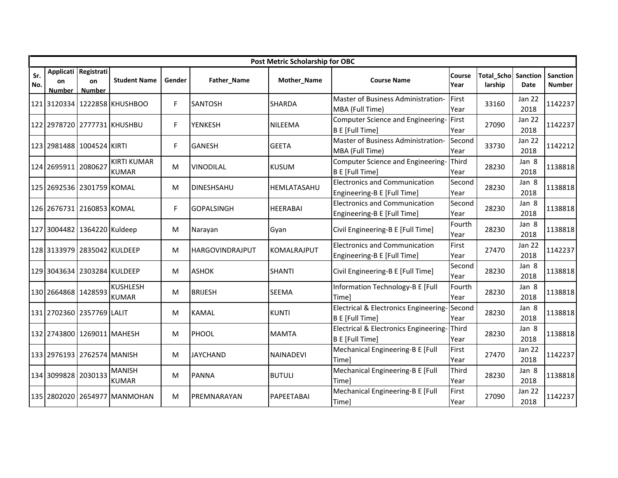|            |                            |                                             |                                    |        |                        | Post Metric Scholarship for OBC |                                                                            |                |                       |                         |                           |
|------------|----------------------------|---------------------------------------------|------------------------------------|--------|------------------------|---------------------------------|----------------------------------------------------------------------------|----------------|-----------------------|-------------------------|---------------------------|
| Sr.<br>No. | <b>on</b><br><b>Number</b> | Applicati Registrati<br>on<br><b>Number</b> | <b>Student Name</b>                | Gender | Father_Name            | Mother_Name                     | <b>Course Name</b>                                                         | Course<br>Year | Total_Scho<br>larship | Sanction<br><b>Date</b> | Sanction<br><b>Number</b> |
|            |                            |                                             | 121 3120334 1222858 KHUSHBOO       | F.     | <b>SANTOSH</b>         | <b>SHARDA</b>                   | Master of Business Administration-<br>MBA (Full Time)                      | First<br>Year  | 33160                 | Jan 22<br>2018          | 1142237                   |
|            |                            |                                             | 122 2978720 2777731 KHUSHBU        | F.     | <b>YENKESH</b>         | <b>NILEEMA</b>                  | Computer Science and Engineering-<br><b>B E [Full Time]</b>                | First<br>Year  | 27090                 | Jan 22<br>2018          | 1142237                   |
|            |                            | 123 2981488 1004524 KIRTI                   |                                    | F.     | <b>GANESH</b>          | <b>GEETA</b>                    | Master of Business Administration-<br>MBA (Full Time)                      | Second<br>Year | 33730                 | Jan 22<br>2018          | 1142212                   |
|            | 124 2695911 2080627        |                                             | <b>KIRTI KUMAR</b><br><b>KUMAR</b> | М      | <b>VINODILAL</b>       | <b>KUSUM</b>                    | Computer Science and Engineering-<br><b>B E [Full Time]</b>                | Third<br>Year  | 28230                 | Jan 8<br>2018           | 1138818                   |
|            |                            | 125 2692536 2301759 KOMAL                   |                                    | M      | <b>DINESHSAHU</b>      | HEMLATASAHU                     | <b>Electronics and Communication</b><br>Engineering-B E [Full Time]        | Second<br>Year | 28230                 | Jan 8<br>2018           | 1138818                   |
|            |                            | 126 2676731 2160853 KOMAL                   |                                    | F.     | <b>GOPALSINGH</b>      | <b>HEERABAI</b>                 | <b>Electronics and Communication</b><br>Engineering-B E [Full Time]        | Second<br>Year | 28230                 | Jan 8<br>2018           | 1138818                   |
|            |                            | 127 3004482 1364220 Kuldeep                 |                                    | М      | Narayan                | Gyan                            | Civil Engineering-B E [Full Time]                                          | Fourth<br>Year | 28230                 | Jan 8<br>2018           | 1138818                   |
|            |                            | 128 3133979 2835042 KULDEEP                 |                                    | M      | <b>HARGOVINDRAJPUT</b> | <b>KOMALRAJPUT</b>              | <b>Electronics and Communication</b><br>Engineering-B E [Full Time]        | First<br>Year  | 27470                 | Jan 22<br>2018          | 1142237                   |
|            |                            | 129 3043634 2303284 KULDEEP                 |                                    | М      | <b>ASHOK</b>           | <b>SHANTI</b>                   | Civil Engineering-B E [Full Time]                                          | Second<br>Year | 28230                 | Jan 8<br>2018           | 1138818                   |
|            | 130 2664868 1428593        |                                             | <b>KUSHLESH</b><br><b>KUMAR</b>    | M      | <b>BRIJESH</b>         | <b>SEEMA</b>                    | Information Technology-B E [Full<br><b>Time]</b>                           | Fourth<br>Year | 28230                 | Jan 8<br>2018           | 1138818                   |
|            |                            | 131 2702360 2357769 LALIT                   |                                    | M      | <b>KAMAL</b>           | <b>KUNTI</b>                    | Electrical & Electronics Engineering-<br><b>B E [Full Time]</b>            | Second<br>Year | 28230                 | Jan 8<br>2018           | 1138818                   |
|            |                            | 132 2743800 1269011 MAHESH                  |                                    | M      | PHOOL                  | <b>MAMTA</b>                    | <b>Electrical &amp; Electronics Engineering-</b><br><b>B E [Full Time]</b> | Third<br>Year  | 28230                 | Jan 8<br>2018           | 1138818                   |
|            |                            | 133 2976193 2762574 MANISH                  |                                    | м      | <b>JAYCHAND</b>        | <b>NAINADEVI</b>                | Mechanical Engineering-B E [Full<br>Timel                                  | First<br>Year  | 27470                 | <b>Jan 22</b><br>2018   | 1142237                   |
|            | 134 3099828 2030133        |                                             | <b>MANISH</b><br><b>KUMAR</b>      | М      | <b>PANNA</b>           | <b>BUTULI</b>                   | Mechanical Engineering-B E [Full<br>Timel                                  | Third<br>Year  | 28230                 | Jan 8<br>2018           | 1138818                   |
|            |                            |                                             | 135 2802020 2654977 MANMOHAN       | м      | <b>IPREMNARAYAN</b>    | PAPEETABAI                      | Mechanical Engineering-B E [Full<br>Time]                                  | First<br>Year  | 27090                 | Jan 22<br>2018          | 1142237                   |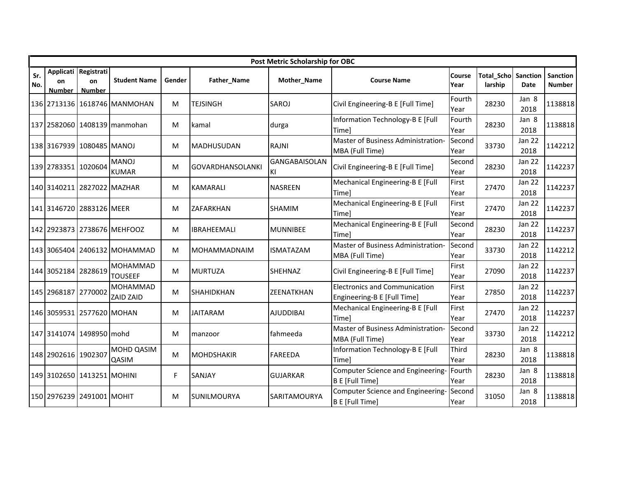|            |                     |                                             |                              |        |                         | Post Metric Scholarship for OBC |                                                                     |                |                       |                       |                    |
|------------|---------------------|---------------------------------------------|------------------------------|--------|-------------------------|---------------------------------|---------------------------------------------------------------------|----------------|-----------------------|-----------------------|--------------------|
| Sr.<br>No. | on<br><b>Number</b> | Applicati Registrati<br>on<br><b>Number</b> | <b>Student Name</b>          | Gender | Father_Name             | Mother_Name                     | <b>Course Name</b>                                                  | Course<br>Year | Total Scho<br>larship | Sanction<br>Date      | Sanction<br>Number |
|            |                     |                                             | 136 2713136 1618746 MANMOHAN | M      | <b>TEJSINGH</b>         | <b>SAROJ</b>                    | Civil Engineering-B E [Full Time]                                   | Fourth<br>Year | 28230                 | Jan 8<br>2018         | 1138818            |
|            |                     |                                             | 137 2582060 1408139 manmohan | M      | kamal                   | durga                           | Information Technology-B E [Full<br>Timel                           | Fourth<br>Year | 28230                 | Jan 8<br>2018         | 1138818            |
|            |                     | 138 3167939 1080485 MANOJ                   |                              | М      | <b>MADHUSUDAN</b>       | <b>RAJNI</b>                    | Master of Business Administration-<br>MBA (Full Time)               | Second<br>Year | 33730                 | Jan 22<br>2018        | 1142212            |
|            | 139 2783351 1020604 |                                             | <b>MANOJ</b><br><b>KUMAR</b> | м      | <b>GOVARDHANSOLANKI</b> | <b>GANGABAISOLAN</b><br>KI      | Civil Engineering-B E [Full Time]                                   | Second<br>Year | 28230                 | <b>Jan 22</b><br>2018 | 1142237            |
|            |                     | 140 3140211 2827022 MAZHAR                  |                              | М      | <b>KAMARALI</b>         | <b>NASREEN</b>                  | Mechanical Engineering-B E [Full<br>Timel                           | First<br>Year  | 27470                 | <b>Jan 22</b><br>2018 | 1142237            |
|            |                     | 141 3146720 2883126 MEER                    |                              | М      | <b>ZAFARKHAN</b>        | <b>SHAMIM</b>                   | Mechanical Engineering-B E [Full<br>Timel                           | First<br>Year  | 27470                 | Jan 22<br>2018        | 1142237            |
|            |                     |                                             | 142 2923873 2738676 MEHFOOZ  | М      | <b>IBRAHEEMALI</b>      | <b>MUNNIBEE</b>                 | Mechanical Engineering-B E [Full<br>Timel                           | Second<br>Year | 28230                 | Jan 22<br>2018        | 1142237            |
|            |                     |                                             | 143 3065404 2406132 MOHAMMAD | M      | <b>MOHAMMADNAIM</b>     | <b>ISMATAZAM</b>                | Master of Business Administration-<br>MBA (Full Time)               | Second<br>Year | 33730                 | Jan 22<br>2018        | 1142212            |
|            | 144 3052184         | 2828619                                     | MOHAMMAD<br><b>TOUSEEF</b>   | М      | <b>MURTUZA</b>          | <b>SHEHNAZ</b>                  | Civil Engineering-B E [Full Time]                                   | First<br>Year  | 27090                 | Jan 22<br>2018        | 1142237            |
|            | 145 2968187 2770002 |                                             | MOHAMMAD<br><b>ZAID ZAID</b> | М      | SHAHIDKHAN              | ZEENATKHAN                      | <b>Electronics and Communication</b><br>Engineering-B E [Full Time] | First<br>Year  | 27850                 | Jan 22<br>2018        | 1142237            |
|            |                     | 146 3059531 2577620 MOHAN                   |                              | M      | <b>JAITARAM</b>         | <b>AJUDDIBAI</b>                | Mechanical Engineering-B E [Full<br>Time]                           | First<br>Year  | 27470                 | <b>Jan 22</b><br>2018 | 1142237            |
|            |                     | 147 3141074 1498950 mohd                    |                              | M      | manzoor                 | fahmeeda                        | Master of Business Administration-<br>MBA (Full Time)               | Second<br>Year | 33730                 | <b>Jan 22</b><br>2018 | 1142212            |
|            | 148 2902616 1902307 |                                             | MOHD QASIM<br>QASIM          | М      | <b>MOHDSHAKIR</b>       | <b>FAREEDA</b>                  | Information Technology-B E [Full<br>Timel                           | Third<br>Year  | 28230                 | Jan 8<br>2018         | 1138818            |
|            |                     | 149 3102650 1413251 MOHINI                  |                              | F      | SANJAY                  | <b>GUJARKAR</b>                 | Computer Science and Engineering-<br><b>B E [Full Time]</b>         | Fourth<br>Year | 28230                 | Jan 8<br>2018         | 1138818            |
|            |                     | 150 2976239 2491001 MOHIT                   |                              | M      | <b>SUNILMOURYA</b>      | SARITAMOURYA                    | Computer Science and Engineering-<br><b>BE</b> [Full Time]          | Second<br>Year | 31050                 | Jan 8<br>2018         | 1138818            |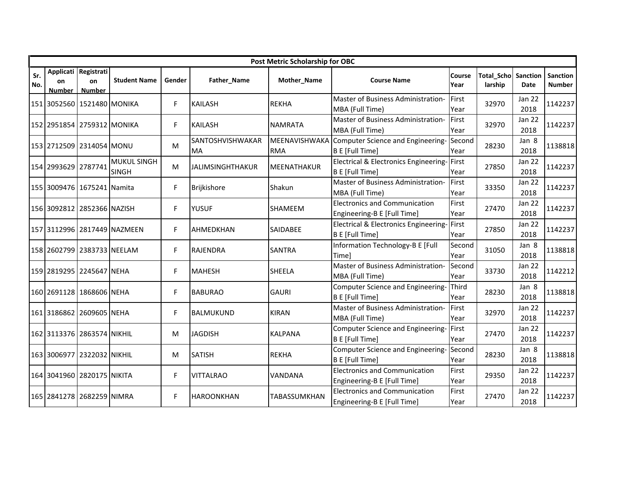|            |                            |                                             |                                    |        |                                      | Post Metric Scholarship for OBC |                                                                            |                |                              |                         |                           |
|------------|----------------------------|---------------------------------------------|------------------------------------|--------|--------------------------------------|---------------------------------|----------------------------------------------------------------------------|----------------|------------------------------|-------------------------|---------------------------|
| Sr.<br>No. | <b>on</b><br><b>Number</b> | Applicati Registrati<br>on<br><b>Number</b> | <b>Student Name</b>                | Gender | Father_Name                          | Mother_Name                     | <b>Course Name</b>                                                         | Course<br>Year | <b>Total_Scho</b><br>larship | Sanction<br><b>Date</b> | Sanction<br><b>Number</b> |
|            |                            | 151 3052560 1521480 MONIKA                  |                                    | F.     | <b>KAILASH</b>                       | <b>REKHA</b>                    | Master of Business Administration-<br>MBA (Full Time)                      | First<br>Year  | 32970                        | Jan 22<br>2018          | 1142237                   |
|            |                            | 152 2951854 2759312 MONIKA                  |                                    | F.     | <b>KAILASH</b>                       | <b>NAMRATA</b>                  | Master of Business Administration-<br>MBA (Full Time)                      | First<br>Year  | 32970                        | Jan 22<br>2018          | 1142237                   |
|            |                            | 153 2712509 2314054 MONU                    |                                    | M      | <b>SANTOSHVISHWAKAR</b><br><b>MA</b> | MEENAVISHWAKA<br><b>RMA</b>     | Computer Science and Engineering-<br><b>B E</b> [Full Time]                | Second<br>Year | 28230                        | Jan 8<br>2018           | 1138818                   |
|            | 154 2993629 2787741        |                                             | <b>MUKUL SINGH</b><br><b>SINGH</b> | M      | <b>JALIMSINGHTHAKUR</b>              | MEENATHAKUR                     | Electrical & Electronics Engineering-First<br><b>B E [Full Time]</b>       | Year           | 27850                        | Jan 22<br>2018          | 1142237                   |
|            |                            | 155 3009476 1675241 Namita                  |                                    | F.     | Brijkishore                          | Shakun                          | Master of Business Administration-<br>MBA (Full Time)                      | First<br>Year  | 33350                        | <b>Jan 22</b><br>2018   | 1142237                   |
|            |                            | 156 3092812 2852366 NAZISH                  |                                    | F.     | <b>YUSUF</b>                         | <b>SHAMEEM</b>                  | <b>Electronics and Communication</b><br>Engineering-B E [Full Time]        | First<br>Year  | 27470                        | <b>Jan 22</b><br>2018   | 1142237                   |
|            |                            |                                             | 157 3112996 2817449 NAZMEEN        | F.     | AHMEDKHAN                            | <b>SAIDABEE</b>                 | <b>Electrical &amp; Electronics Engineering-</b><br><b>B E [Full Time]</b> | First<br>Year  | 27850                        | Jan 22<br>2018          | 1142237                   |
|            |                            | 158 2602799 2383733 NEELAM                  |                                    | F.     | <b>RAJENDRA</b>                      | <b>SANTRA</b>                   | Information Technology-B E [Full<br><b>Time]</b>                           | Second<br>Year | 31050                        | Jan 8<br>2018           | 1138818                   |
|            |                            | 159 2819295 2245647 NEHA                    |                                    | F.     | <b>MAHESH</b>                        | <b>SHEELA</b>                   | Master of Business Administration-<br>MBA (Full Time)                      | Second<br>Year | 33730                        | Jan 22<br>2018          | 1142212                   |
|            |                            | 160 2691128 1868606 NEHA                    |                                    | F.     | <b>BABURAO</b>                       | <b>GAURI</b>                    | Computer Science and Engineering-<br><b>B E [Full Time]</b>                | Third<br>Year  | 28230                        | Jan 8<br>2018           | 1138818                   |
|            |                            | 161 3186862 2609605 NEHA                    |                                    | F.     | <b>BALMUKUND</b>                     | <b>KIRAN</b>                    | Master of Business Administration-<br>MBA (Full Time)                      | First<br>Year  | 32970                        | <b>Jan 22</b><br>2018   | 1142237                   |
|            |                            | 162 3113376 2863574 NIKHIL                  |                                    | M      | <b>JAGDISH</b>                       | <b>KALPANA</b>                  | Computer Science and Engineering-<br><b>B E</b> [Full Time]                | First<br>Year  | 27470                        | <b>Jan 22</b><br>2018   | 1142237                   |
|            |                            | 163 3006977 2322032 NIKHIL                  |                                    | м      | <b>SATISH</b>                        | <b>REKHA</b>                    | Computer Science and Engineering-<br><b>B E [Full Time]</b>                | Second<br>Year | 28230                        | Jan 8<br>2018           | 1138818                   |
|            |                            | 164 3041960 2820175 NIKITA                  |                                    | F.     | <b>VITTALRAO</b>                     | VANDANA                         | <b>Electronics and Communication</b><br>Engineering-B E [Full Time]        | First<br>Year  | 29350                        | Jan 22<br>2018          | 1142237                   |
|            |                            | 165 2841278 2682259 NIMRA                   |                                    | F.     | <b>HAROONKHAN</b>                    | <b>TABASSUMKHAN</b>             | <b>Electronics and Communication</b><br>Engineering-B E [Full Time]        | First<br>Year  | 27470                        | <b>Jan 22</b><br>2018   | 1142237                   |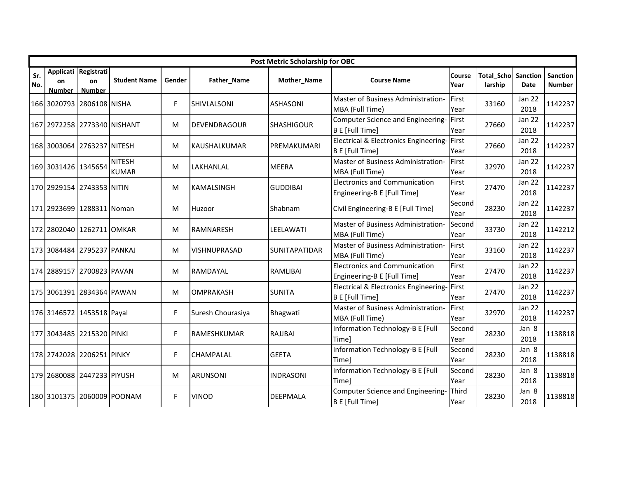|            |                     |                                             |                               |        |                     | Post Metric Scholarship for OBC |                                                                     |                |                              |                       |                    |
|------------|---------------------|---------------------------------------------|-------------------------------|--------|---------------------|---------------------------------|---------------------------------------------------------------------|----------------|------------------------------|-----------------------|--------------------|
| Sr.<br>No. | on<br><b>Number</b> | Applicati Registrati<br>on<br><b>Number</b> | <b>Student Name</b>           | Gender | Father_Name         | Mother_Name                     | <b>Course Name</b>                                                  | Course<br>Year | <b>Total Scho</b><br>larship | Sanction<br>Date      | Sanction<br>Number |
|            |                     | 166 3020793 2806108 NISHA                   |                               | F.     | <b>SHIVLALSONI</b>  | <b>ASHASONI</b>                 | Master of Business Administration-<br>MBA (Full Time)               | First<br>Year  | 33160                        | Jan 22<br>2018        | 1142237            |
|            |                     | 167 2972258 2773340 NISHANT                 |                               | M      | DEVENDRAGOUR        | <b>SHASHIGOUR</b>               | Computer Science and Engineering-<br><b>B E</b> [Full Time]         | First<br>Year  | 27660                        | Jan 22<br>2018        | 1142237            |
|            |                     | 168 3003064 2763237 NITESH                  |                               | М      | KAUSHALKUMAR        | PREMAKUMARI                     | Electrical & Electronics Engineering-<br>B E [Full Time]            | First<br>Year  | 27660                        | Jan 22<br>2018        | 1142237            |
|            | 169 3031426 1345654 |                                             | <b>NITESH</b><br><b>KUMAR</b> | м      | LAKHANLAL           | <b>MEERA</b>                    | Master of Business Administration-<br>MBA (Full Time)               | First<br>Year  | 32970                        | <b>Jan 22</b><br>2018 | 1142237            |
|            |                     | 170 2929154 2743353 NITIN                   |                               | M      | <b>KAMALSINGH</b>   | <b>GUDDIBAI</b>                 | <b>Electronics and Communication</b><br>Engineering-B E [Full Time] | First<br>Year  | 27470                        | <b>Jan 22</b><br>2018 | 1142237            |
|            |                     | 171 2923699 1288311 Noman                   |                               | М      | Huzoor              | Shabnam                         | Civil Engineering-B E [Full Time]                                   | Second<br>Year | 28230                        | Jan 22<br>2018        | 1142237            |
|            |                     | 172 2802040 1262711 OMKAR                   |                               | М      | RAMNARESH           | LEELAWATI                       | Master of Business Administration-<br>MBA (Full Time)               | Second<br>Year | 33730                        | Jan 22<br>2018        | 1142212            |
|            |                     | 173 3084484 2795237 PANKAJ                  |                               | M      | <b>VISHNUPRASAD</b> | <b>SUNITAPATIDAR</b>            | Master of Business Administration-<br>MBA (Full Time)               | First<br>Year  | 33160                        | Jan 22<br>2018        | 1142237            |
|            |                     | 174 2889157 2700823 PAVAN                   |                               | м      | RAMDAYAL            | <b>RAMLIBAI</b>                 | <b>Electronics and Communication</b><br>Engineering-B E [Full Time] | First<br>Year  | 27470                        | Jan 22<br>2018        | 1142237            |
|            |                     | 175 3061391 2834364 PAWAN                   |                               | М      | <b>OMPRAKASH</b>    | <b>SUNITA</b>                   | Electrical & Electronics Engineering-<br><b>B E [Full Time]</b>     | First<br>Year  | 27470                        | Jan 22<br>2018        | 1142237            |
|            |                     | 176 3146572 1453518 Payal                   |                               | F.     | Suresh Chourasiya   | Bhagwati                        | Master of Business Administration-<br>MBA (Full Time)               | First<br>Year  | 32970                        | <b>Jan 22</b><br>2018 | 1142237            |
|            |                     | 177 3043485 2215320 PINKI                   |                               | F.     | RAMESHKUMAR         | RAJJBAI                         | Information Technology-B E [Full<br>Timel                           | Second<br>Year | 28230                        | Jan 8<br>2018         | 1138818            |
|            |                     | 178 2742028 2206251 PINKY                   |                               | F.     | <b>CHAMPALAL</b>    | <b>GEETA</b>                    | Information Technology-B E [Full<br>Timel                           | Second<br>Year | 28230                        | Jan 8<br>2018         | 1138818            |
|            |                     | 179 2680088 2447233 PIYUSH                  |                               | M      | <b>ARUNSONI</b>     | <b>INDRASONI</b>                | Information Technology-B E [Full<br>Timel                           | Second<br>Year | 28230                        | Jan 8<br>2018         | 1138818            |
|            |                     |                                             | 180 3101375 2060009 POONAM    | F.     | <b>VINOD</b>        | <b>DEEPMALA</b>                 | Computer Science and Engineering-<br><b>B E [Full Time]</b>         | Third<br>Year  | 28230                        | Jan 8<br>2018         | 1138818            |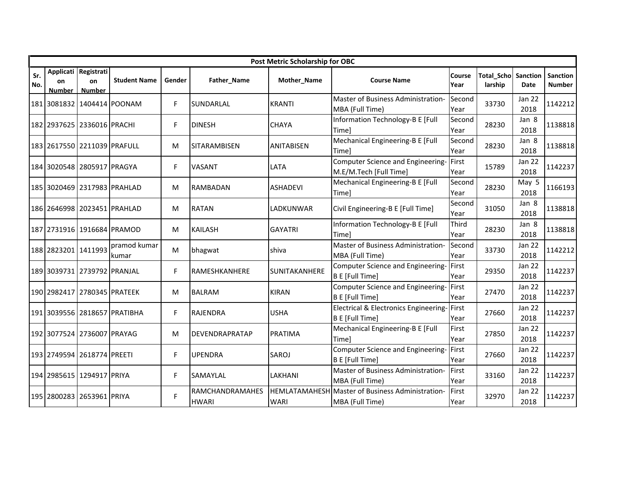|            |                     |                                             |                              |        |                                        | Post Metric Scholarship for OBC     |                                                                      |                |                              |                       |                           |
|------------|---------------------|---------------------------------------------|------------------------------|--------|----------------------------------------|-------------------------------------|----------------------------------------------------------------------|----------------|------------------------------|-----------------------|---------------------------|
| Sr.<br>No. | on<br><b>Number</b> | Applicati Registrati<br>on<br><b>Number</b> | <b>Student Name</b>          | Gender | Father_Name                            | Mother_Name                         | <b>Course Name</b>                                                   | Course<br>Year | <b>Total_Scho</b><br>larship | Sanction<br>Date      | Sanction<br><b>Number</b> |
|            |                     |                                             | 181 3081832 1404414 POONAM   | F      | SUNDARLAL                              | <b>KRANTI</b>                       | Master of Business Administration-<br>MBA (Full Time)                | Second<br>Year | 33730                        | <b>Jan 22</b><br>2018 | 1142212                   |
|            |                     | 182 2937625 2336016 PRACHI                  |                              | F.     | <b>DINESH</b>                          | <b>CHAYA</b>                        | Information Technology-B E [Full<br>Time]                            | Second<br>Year | 28230                        | Jan 8<br>2018         | 1138818                   |
|            |                     | 183 2617550 2211039 PRAFULL                 |                              | М      | SITARAMBISEN                           | <b>ANITABISEN</b>                   | Mechanical Engineering-B E [Full<br>Timel                            | Second<br>Year | 28230                        | Jan 8<br>2018         | 1138818                   |
|            |                     | 184 3020548 2805917 PRAGYA                  |                              | F.     | <b>VASANT</b>                          | LATA                                | Computer Science and Engineering-<br>M.E/M.Tech [Full Time]          | First<br>Year  | 15789                        | <b>Jan 22</b><br>2018 | 1142237                   |
|            |                     |                                             | 185 3020469 2317983 PRAHLAD  | М      | <b>RAMBADAN</b>                        | <b>ASHADEVI</b>                     | Mechanical Engineering-B E [Full<br>Timel                            | Second<br>Year | 28230                        | May 5<br>2018         | 1166193                   |
|            |                     |                                             | 186 2646998 2023451 PRAHLAD  | М      | <b>RATAN</b>                           | LADKUNWAR                           | Civil Engineering-B E [Full Time]                                    | Second<br>Year | 31050                        | Jan 8<br>2018         | 1138818                   |
|            |                     | 187 2731916 1916684 PRAMOD                  |                              | М      | <b>KAILASH</b>                         | <b>GAYATRI</b>                      | Information Technology-B E [Full<br>Timel                            | Third<br>Year  | 28230                        | Jan 8<br>2018         | 1138818                   |
|            | 188 2823201 1411993 |                                             | pramod kumar<br>kumar        | M      | bhagwat                                | shiva                               | Master of Business Administration-<br>MBA (Full Time)                | Second<br>Year | 33730                        | Jan 22<br>2018        | 1142212                   |
|            |                     | 189 3039731 2739792 PRANJAL                 |                              | F.     | <b>RAMESHKANHERE</b>                   | SUNITAKANHERE                       | Computer Science and Engineering- First<br><b>B E [Full Time]</b>    | Year           | 29350                        | <b>Jan 22</b><br>2018 | 1142237                   |
|            |                     | 190 2982417 2780345 PRATEEK                 |                              | М      | <b>BALRAM</b>                          | <b>KIRAN</b>                        | Computer Science and Engineering-<br><b>B E [Full Time]</b>          | First<br>Year  | 27470                        | <b>Jan 22</b><br>2018 | 1142237                   |
|            |                     |                                             | 191 3039556 2818657 PRATIBHA | F.     | <b>RAJENDRA</b>                        | <b>USHA</b>                         | Electrical & Electronics Engineering-First<br><b>B E [Full Time]</b> | Year           | 27660                        | Jan 22<br>2018        | 1142237                   |
|            |                     | 192 3077524 2736007 PRAYAG                  |                              | М      | DEVENDRAPRATAP                         | <b>PRATIMA</b>                      | Mechanical Engineering-B E [Full<br>Timel                            | First<br>Year  | 27850                        | Jan 22<br>2018        | 1142237                   |
|            |                     | 193 2749594 2618774 PREETI                  |                              | F      | <b>UPENDRA</b>                         | SAROJ                               | Computer Science and Engineering-<br><b>B E</b> [Full Time]          | First<br>Year  | 27660                        | <b>Jan 22</b><br>2018 | 1142237                   |
|            |                     | 194 2985615 1294917 PRIYA                   |                              | F.     | SAMAYLAL                               | LAKHANI                             | Master of Business Administration-<br>MBA (Full Time)                | First<br>Year  | 33160                        | <b>Jan 22</b><br>2018 | 1142237                   |
|            |                     | 195 2800283 2653961 PRIYA                   |                              | F      | <b>RAMCHANDRAMAHES</b><br><b>HWARI</b> | <b>HEMLATAMAHESH</b><br><b>WARI</b> | Master of Business Administration-<br>MBA (Full Time)                | First<br>Year  | 32970                        | <b>Jan 22</b><br>2018 | 1142237                   |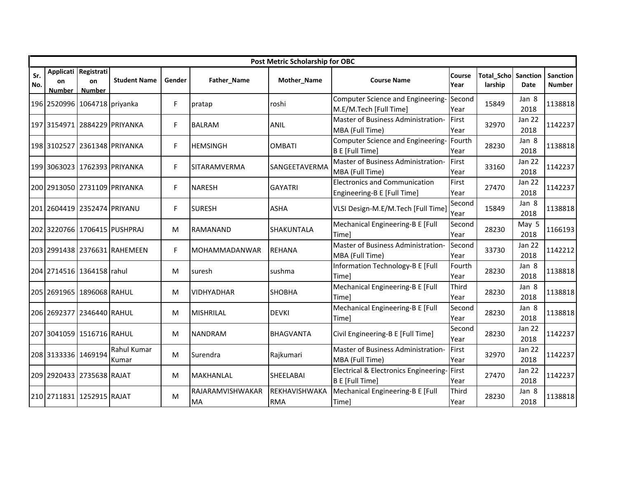|            |                     |                                      |                              |        |                        | Post Metric Scholarship for OBC |                                                                      |                |                       |                       |                           |
|------------|---------------------|--------------------------------------|------------------------------|--------|------------------------|---------------------------------|----------------------------------------------------------------------|----------------|-----------------------|-----------------------|---------------------------|
| Sr.<br>No. | <b>on</b><br>Number | Applicati Registrati<br>on<br>Number | <b>Student Name</b>          | Gender | Father_Name            | Mother_Name                     | <b>Course Name</b>                                                   | Course<br>Year | Total_Scho<br>larship | Sanction<br>Date      | Sanction<br><b>Number</b> |
|            |                     | 196 2520996 1064718 priyanka         |                              | F.     | pratap                 | roshi                           | Computer Science and Engineering-<br>M.E/M.Tech [Full Time]          | Second<br>Year | 15849                 | Jan 8<br>2018         | 1138818                   |
|            |                     |                                      | 197 3154971 2884229 PRIYANKA | F.     | <b>BALRAM</b>          | <b>ANIL</b>                     | Master of Business Administration-<br>MBA (Full Time)                | First<br>Year  | 32970                 | Jan 22<br>2018        | 1142237                   |
|            |                     |                                      | 198 3102527 2361348 PRIYANKA | F.     | <b>HEMSINGH</b>        | <b>OMBATI</b>                   | Computer Science and Engineering-<br><b>B E</b> [Full Time]          | Fourth<br>Year | 28230                 | Jan 8<br>2018         | 1138818                   |
|            |                     |                                      | 199 3063023 1762393 PRIYANKA | F.     | <b>ISITARAMVERMA</b>   | SANGEETAVERMA                   | Master of Business Administration-<br>MBA (Full Time)                | First<br>Year  | 33160                 | <b>Jan 22</b><br>2018 | 1142237                   |
|            |                     |                                      | 200 2913050 2731109 PRIYANKA | F.     | <b>NARESH</b>          | <b>GAYATRI</b>                  | <b>Electronics and Communication</b><br>Engineering-B E [Full Time]  | First<br>Year  | 27470                 | Jan 22<br>2018        | 1142237                   |
|            |                     | 201 2604419 2352474 PRIYANU          |                              | F.     | <b>SURESH</b>          | <b>ASHA</b>                     | VLSI Design-M.E/M.Tech [Full Time]                                   | Second<br>Year | 15849                 | Jan 8<br>2018         | 1138818                   |
|            |                     |                                      | 202 3220766 1706415 PUSHPRAJ | M      | <b>RAMANAND</b>        | <b>SHAKUNTALA</b>               | Mechanical Engineering-B E [Full<br>Timel                            | Second<br>Year | 28230                 | May 5<br>2018         | 1166193                   |
|            |                     |                                      | 203 2991438 2376631 RAHEMEEN | F.     | <b>MOHAMMADANWAR</b>   | <b>REHANA</b>                   | Master of Business Administration-<br>MBA (Full Time)                | Second<br>Year | 33730                 | Jan 22<br>2018        | 1142212                   |
|            |                     | 204 2714516 1364158 rahul            |                              | м      | suresh                 | sushma                          | Information Technology-B E [Full<br>Time]                            | Fourth<br>Year | 28230                 | Jan 8<br>2018         | 1138818                   |
|            |                     | 205 2691965 1896068 RAHUL            |                              | M      | <b>VIDHYADHAR</b>      | <b>SHOBHA</b>                   | Mechanical Engineering-B E [Full<br>Timel                            | Third<br>Year  | 28230                 | Jan 8<br>2018         | 1138818                   |
|            |                     | 206 2692377 2346440 RAHUL            |                              | М      | <b>MISHRILAL</b>       | <b>DEVKI</b>                    | Mechanical Engineering-B E [Full<br>Timel                            | Second<br>Year | 28230                 | Jan 8<br>2018         | 1138818                   |
|            |                     | 207 3041059 1516716 RAHUL            |                              | M      | <b>NANDRAM</b>         | <b>BHAGVANTA</b>                | Civil Engineering-B E [Full Time]                                    | Second<br>Year | 28230                 | <b>Jan 22</b><br>2018 | 1142237                   |
|            | 208 3133336 1469194 |                                      | Rahul Kumar<br>Kumar         | М      | Surendra               | Rajkumari                       | Master of Business Administration-<br>MBA (Full Time)                | First<br>Year  | 32970                 | Jan 22<br>2018        | 1142237                   |
|            |                     | 209 2920433 2735638 RAJAT            |                              | M      | MAKHANLAL              | SHEELABAI                       | Electrical & Electronics Engineering-First<br><b>B E [Full Time]</b> | Year           | 27470                 | Jan 22<br>2018        | 1142237                   |
|            |                     | 210 2711831 1252915 RAJAT            |                              | M      | RAJARAMVISHWAKAR<br>MA | REKHAVISHWAKA<br><b>RMA</b>     | Mechanical Engineering-B E [Full<br>Time]                            | Third<br>Year  | 28230                 | Jan 8<br>2018         | 1138818                   |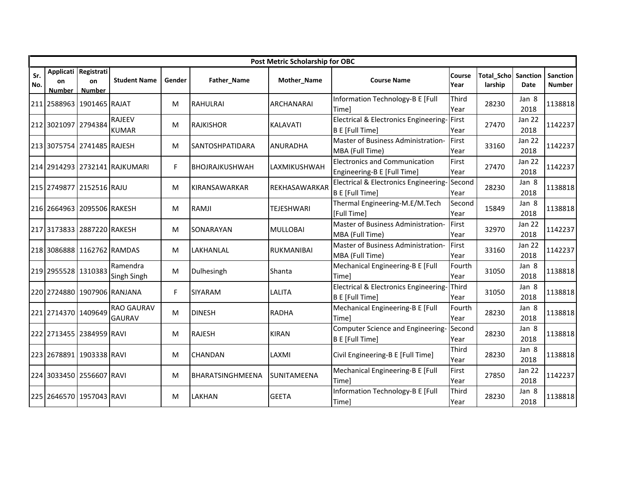|            |                     |                                             |                                    |        |                        | Post Metric Scholarship for OBC |                                                                     |                |                              |                       |                           |
|------------|---------------------|---------------------------------------------|------------------------------------|--------|------------------------|---------------------------------|---------------------------------------------------------------------|----------------|------------------------------|-----------------------|---------------------------|
| Sr.<br>No. | on<br><b>Number</b> | Applicati Registrati<br>on<br><b>Number</b> | <b>Student Name</b>                | Gender | Father_Name            | Mother_Name                     | <b>Course Name</b>                                                  | Course<br>Year | <b>Total Scho</b><br>larship | Sanction<br>Date      | <b>Sanction</b><br>Number |
|            |                     | 211 2588963 1901465 RAJAT                   |                                    | м      | <b>RAHULRAI</b>        | <b>ARCHANARAI</b>               | Information Technology-B E [Full<br>Time]                           | Third<br>Year  | 28230                        | Jan 8<br>2018         | 1138818                   |
|            | 212 3021097 2794384 |                                             | <b>RAJEEV</b><br><b>KUMAR</b>      | M      | <b>RAJKISHOR</b>       | <b>KALAVATI</b>                 | Electrical & Electronics Engineering-<br><b>B E</b> [Full Time]     | First<br>Year  | 27470                        | <b>Jan 22</b><br>2018 | 1142237                   |
|            |                     | 213 3075754 2741485 RAJESH                  |                                    | м      | <b>SANTOSHPATIDARA</b> | <b>ANURADHA</b>                 | Master of Business Administration-<br>MBA (Full Time)               | First<br>Year  | 33160                        | Jan 22<br>2018        | 1142237                   |
|            |                     |                                             | 214 2914293 2732141 RAJKUMARI      | F      | BHOJRAJKUSHWAH         | LAXMIKUSHWAH                    | <b>Electronics and Communication</b><br>Engineering-B E [Full Time] | First<br>Year  | 27470                        | <b>Jan 22</b><br>2018 | 1142237                   |
|            |                     | 215 2749877 2152516 RAJU                    |                                    | M      | <b>KIRANSAWARKAR</b>   | REKHASAWARKAR                   | Electrical & Electronics Engineering-<br><b>B E [Full Time]</b>     | Second<br>Year | 28230                        | Jan 8<br>2018         | 1138818                   |
|            |                     | 216 2664963 2095506 RAKESH                  |                                    | м      | <b>RAMJI</b>           | <b>TEJESHWARI</b>               | Thermal Engineering-M.E/M.Tech<br>[Full Time]                       | Second<br>Year | 15849                        | Jan 8<br>2018         | 1138818                   |
|            |                     | 217 3173833 2887220 RAKESH                  |                                    | м      | SONARAYAN              | <b>MULLOBAI</b>                 | Master of Business Administration-<br>MBA (Full Time)               | First<br>Year  | 32970                        | Jan 22<br>2018        | 1142237                   |
|            |                     | 218 3086888 1162762 RAMDAS                  |                                    | м      | LAKHANLAL              | RUKMANIBAI                      | Master of Business Administration-<br>MBA (Full Time)               | First<br>Year  | 33160                        | Jan 22<br>2018        | 1142237                   |
|            | 219 2955528 1310383 |                                             | Ramendra<br>Singh Singh            | м      | Dulhesingh             | Shanta                          | Mechanical Engineering-B E [Full<br>Time]                           | Fourth<br>Year | 31050                        | Jan 8<br>2018         | 1138818                   |
|            |                     |                                             | 220 2724880 1907906 RANJANA        | F      | SIYARAM                | <b>LALITA</b>                   | Electrical & Electronics Engineering-<br>B E [Full Time]            | Third<br>Year  | 31050                        | Jan 8<br>2018         | 1138818                   |
|            | 221 2714370 1409649 |                                             | <b>RAO GAURAV</b><br><b>GAURAV</b> | м      | <b>DINESH</b>          | <b>RADHA</b>                    | Mechanical Engineering-B E [Full<br>Time]                           | Fourth<br>Year | 28230                        | Jan 8<br>2018         | 1138818                   |
|            |                     | 222 2713455 2384959 RAVI                    |                                    | M      | <b>RAJESH</b>          | <b>KIRAN</b>                    | Computer Science and Engineering-<br>B E [Full Time]                | Second<br>Year | 28230                        | Jan 8<br>2018         | 1138818                   |
|            |                     | 223 2678891 1903338 RAVI                    |                                    | м      | <b>CHANDAN</b>         | LAXMI                           | Civil Engineering-B E [Full Time]                                   | Third<br>Year  | 28230                        | Jan 8<br>2018         | 1138818                   |
|            |                     | 224 3033450 2556607 RAVI                    |                                    | M      | BHARATSINGHMEENA       | SUNITAMEENA                     | Mechanical Engineering-B E [Full<br>Timel                           | First<br>Year  | 27850                        | <b>Jan 22</b><br>2018 | 1142237                   |
|            |                     | 225 2646570 1957043 RAVI                    |                                    | м      | <b>LAKHAN</b>          | <b>GEETA</b>                    | Information Technology-B E [Full<br>Time]                           | Third<br>Year  | 28230                        | Jan 8<br>2018         | 1138818                   |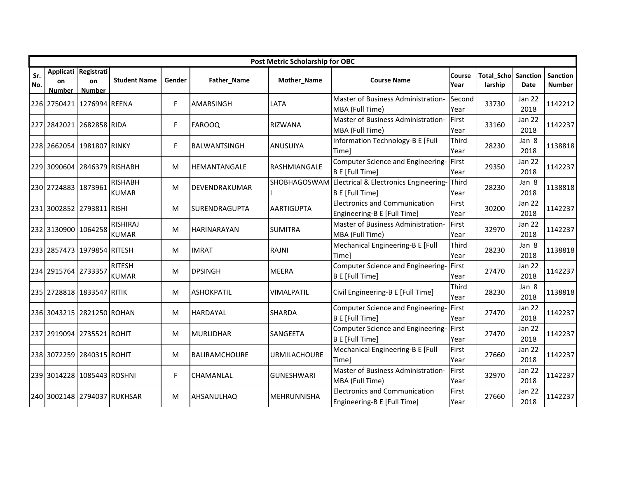|            |                            |                                             |                                 |        |                      | Post Metric Scholarship for OBC |                                                                     |                |                       |                         |                           |
|------------|----------------------------|---------------------------------------------|---------------------------------|--------|----------------------|---------------------------------|---------------------------------------------------------------------|----------------|-----------------------|-------------------------|---------------------------|
| Sr.<br>No. | <b>on</b><br><b>Number</b> | Applicati Registrati<br>on<br><b>Number</b> | <b>Student Name</b>             | Gender | Father_Name          | Mother_Name                     | <b>Course Name</b>                                                  | Course<br>Year | Total_Scho<br>larship | Sanction<br><b>Date</b> | Sanction<br><b>Number</b> |
|            |                            | 226 2750421 1276994 REENA                   |                                 | F.     | <b>AMARSINGH</b>     | LATA                            | Master of Business Administration-<br>MBA (Full Time)               | Second<br>Year | 33730                 | Jan 22<br>2018          | 1142212                   |
|            |                            | 227 2842021 2682858 RIDA                    |                                 | F      | FAROOQ               | <b>RIZWANA</b>                  | Master of Business Administration-<br>MBA (Full Time)               | First<br>Year  | 33160                 | Jan 22<br>2018          | 1142237                   |
|            |                            | 228 2662054 1981807 RINKY                   |                                 | F.     | <b>BALWANTSINGH</b>  | <b>ANUSUIYA</b>                 | Information Technology-B E [Full<br><b>Time]</b>                    | Third<br>Year  | 28230                 | Jan 8<br>2018           | 1138818                   |
|            |                            | 229 3090604 2846379 RISHABH                 |                                 | М      | HEMANTANGALE         | <b>RASHMIANGALE</b>             | Computer Science and Engineering-<br><b>B E [Full Time]</b>         | First<br>Year  | 29350                 | Jan 22<br>2018          | 1142237                   |
|            | 230 2724883 1873961        |                                             | <b>RISHABH</b><br><b>KUMAR</b>  | M      | DEVENDRAKUMAR        | <b>SHOBHAGOSWAM</b>             | Electrical & Electronics Engineering-<br><b>B E</b> [Full Time]     | Third<br>Year  | 28230                 | Jan 8<br>2018           | 1138818                   |
|            |                            | 231 3002852 2793811 RISHI                   |                                 | M      | <b>SURENDRAGUPTA</b> | <b>AARTIGUPTA</b>               | <b>Electronics and Communication</b><br>Engineering-B E [Full Time] | First<br>Year  | 30200                 | <b>Jan 22</b><br>2018   | 1142237                   |
|            | 232 3130900 1064258        |                                             | <b>RISHIRAJ</b><br><b>KUMAR</b> | М      | <b>HARINARAYAN</b>   | <b>SUMITRA</b>                  | Master of Business Administration-<br>MBA (Full Time)               | First<br>Year  | 32970                 | Jan 22<br>2018          | 1142237                   |
|            |                            | 233 2857473 1979854 RITESH                  |                                 | M      | <b>IMRAT</b>         | RAJNI                           | Mechanical Engineering-B E [Full<br><b>Time]</b>                    | Third<br>Year  | 28230                 | Jan 8<br>2018           | 1138818                   |
|            | 234 2915764 2733357        |                                             | <b>RITESH</b><br><b>KUMAR</b>   | М      | <b>DPSINGH</b>       | <b>MEERA</b>                    | Computer Science and Engineering-<br><b>B E</b> [Full Time]         | First<br>Year  | 27470                 | Jan 22<br>2018          | 1142237                   |
|            |                            | 235 2728818 1833547 RITIK                   |                                 | M      | <b>ASHOKPATIL</b>    | <b>VIMALPATIL</b>               | Civil Engineering-B E [Full Time]                                   | Third<br>Year  | 28230                 | Jan 8<br>2018           | 1138818                   |
|            |                            | 236 3043215 2821250 ROHAN                   |                                 | М      | <b>HARDAYAL</b>      | <b>SHARDA</b>                   | Computer Science and Engineering-<br><b>B E [Full Time]</b>         | First<br>Year  | 27470                 | Jan 22<br>2018          | 1142237                   |
|            |                            | 237 2919094 2735521 ROHIT                   |                                 | M      | MURLIDHAR            | SANGEETA                        | Computer Science and Engineering-<br><b>B E [Full Time]</b>         | First<br>Year  | 27470                 | Jan 22<br>2018          | 1142237                   |
|            |                            | 238 3072259 2840315 ROHIT                   |                                 | M      | <b>BALIRAMCHOURE</b> | <b>URMILACHOURE</b>             | Mechanical Engineering-B E [Full<br>Timel                           | First<br>Year  | 27660                 | <b>Jan 22</b><br>2018   | 1142237                   |
|            |                            | 239 3014228 1085443 ROSHNI                  |                                 | F.     | CHAMANLAL            | <b>GUNESHWARI</b>               | Master of Business Administration-<br>MBA (Full Time)               | First<br>Year  | 32970                 | Jan 22<br>2018          | 1142237                   |
|            |                            |                                             | 240 3002148 2794037 RUKHSAR     | M      | AHSANULHAQ           | <b>MEHRUNNISHA</b>              | <b>Electronics and Communication</b><br>Engineering-B E [Full Time] | First<br>Year  | 27660                 | Jan 22<br>2018          | 1142237                   |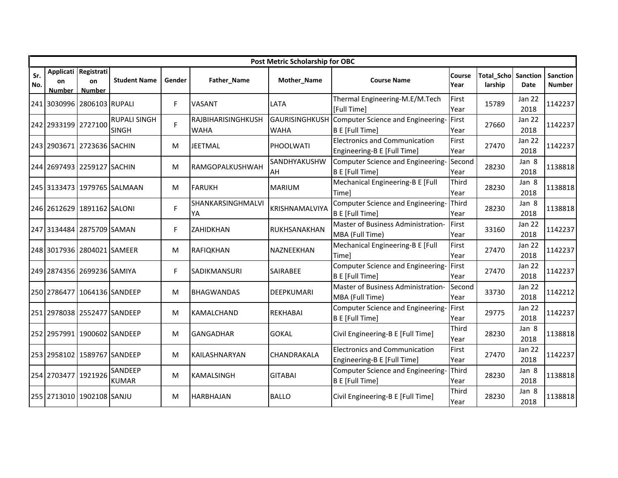|            |                            |                                             |                                     |        |                                   | Post Metric Scholarship for OBC |                                                                            |                |                       |                       |                           |
|------------|----------------------------|---------------------------------------------|-------------------------------------|--------|-----------------------------------|---------------------------------|----------------------------------------------------------------------------|----------------|-----------------------|-----------------------|---------------------------|
| Sr.<br>No. | <b>on</b><br><b>Number</b> | Applicati Registrati<br>on<br><b>Number</b> | <b>Student Name</b>                 | Gender | Father_Name                       | Mother_Name                     | <b>Course Name</b>                                                         | Course<br>Year | Total Scho<br>larship | Sanction<br>Date      | Sanction<br><b>Number</b> |
|            |                            | 241 3030996 2806103 RUPALI                  |                                     | F.     | <b>VASANT</b>                     | LATA                            | Thermal Engineering-M.E/M.Tech<br>[Full Time]                              | First<br>Year  | 15789                 | Jan 22<br>2018        | 1142237                   |
|            | 242 2933199 2727100        |                                             | <b>RUPALI SINGH</b><br><b>SINGH</b> | F.     | RAJBIHARISINGHKUSH<br><b>WAHA</b> | <b>WAHA</b>                     | GAURISINGHKUSH Computer Science and Engineering-<br><b>B E [Full Time]</b> | First<br>Year  | 27660                 | Jan 22<br>2018        | 1142237                   |
|            |                            | 243 2903671 2723636 SACHIN                  |                                     | M      | <b>JEETMAL</b>                    | PHOOLWATI                       | <b>Electronics and Communication</b><br>Engineering-B E [Full Time]        | First<br>Year  | 27470                 | Jan 22<br>2018        | 1142237                   |
|            |                            | 244 2697493 2259127 SACHIN                  |                                     | М      | RAMGOPALKUSHWAH                   | SANDHYAKUSHW<br>AH              | Computer Science and Engineering-<br><b>B E [Full Time]</b>                | Second<br>Year | 28230                 | Jan 8<br>2018         | 1138818                   |
|            |                            |                                             | 245 3133473 1979765 SALMAAN         | M      | <b>FARUKH</b>                     | <b>MARIUM</b>                   | Mechanical Engineering-B E [Full<br>Time]                                  | Third<br>Year  | 28230                 | Jan 8<br>2018         | 1138818                   |
|            |                            | 246 2612629 1891162 SALONI                  |                                     | F.     | SHANKARSINGHMALVI<br>YA           | <b>KRISHNAMALVIYA</b>           | Computer Science and Engineering-<br><b>B E [Full Time]</b>                | Third<br>Year  | 28230                 | Jan 8<br>2018         | 1138818                   |
|            |                            | 247 3134484 2875709 SAMAN                   |                                     | F.     | <b>ZAHIDKHAN</b>                  | RUKHSANAKHAN                    | Master of Business Administration-<br>MBA (Full Time)                      | First<br>Year  | 33160                 | Jan 22<br>2018        | 1142237                   |
|            |                            | 248 3017936 2804021 SAMEER                  |                                     | M      | RAFIQKHAN                         | NAZNEEKHAN                      | Mechanical Engineering-B E [Full<br><b>Time]</b>                           | First<br>Year  | 27470                 | Jan 22<br>2018        | 1142237                   |
|            |                            | 249 2874356 2699236 SAMIYA                  |                                     | F.     | SADIKMANSURI                      | <b>SAIRABEE</b>                 | Computer Science and Engineering-<br><b>B E [Full Time]</b>                | First<br>Year  | 27470                 | Jan 22<br>2018        | 1142237                   |
|            | 250 2786477                | 1064136 SANDEEP                             |                                     | M      | <b>BHAGWANDAS</b>                 | <b>DEEPKUMARI</b>               | Master of Business Administration-<br>MBA (Full Time)                      | Second<br>Year | 33730                 | <b>Jan 22</b><br>2018 | 1142212                   |
|            |                            | 251 2978038 2552477 SANDEEP                 |                                     | М      | KAMALCHAND                        | <b>REKHABAI</b>                 | Computer Science and Engineering-<br><b>B E [Full Time]</b>                | First<br>Year  | 29775                 | <b>Jan 22</b><br>2018 | 1142237                   |
|            |                            | 252 2957991 1900602 SANDEEP                 |                                     | M      | <b>GANGADHAR</b>                  | <b>GOKAL</b>                    | Civil Engineering-B E [Full Time]                                          | Third<br>Year  | 28230                 | Jan 8<br>2018         | 1138818                   |
|            |                            | 253 2958102 1589767 SANDEEP                 |                                     | м      | <b>KAILASHNARYAN</b>              | CHANDRAKALA                     | <b>Electronics and Communication</b><br>Engineering-B E [Full Time]        | First<br>Year  | 27470                 | <b>Jan 22</b><br>2018 | 1142237                   |
|            | 254 2703477                | 1921926                                     | SANDEEP<br><b>KUMAR</b>             | М      | <b>KAMALSINGH</b>                 | <b>GITABAI</b>                  | Computer Science and Engineering-<br><b>B E [Full Time]</b>                | Third<br>Year  | 28230                 | Jan 8<br>2018         | 1138818                   |
|            |                            | 255 2713010 1902108 SANJU                   |                                     | м      | <b>HARBHAJAN</b>                  | <b>BALLO</b>                    | Civil Engineering-B E [Full Time]                                          | Third<br>Year  | 28230                 | Jan 8<br>2018         | 1138818                   |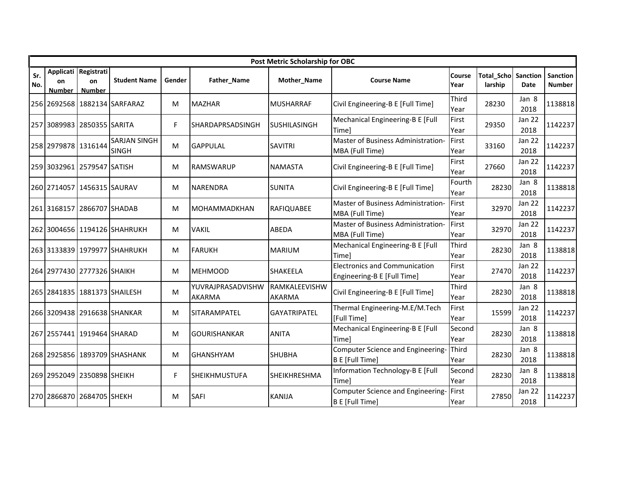|            |                     |                                             |                                     |        |                                    | Post Metric Scholarship for OBC |                                                                     |                |                              |                       |                           |
|------------|---------------------|---------------------------------------------|-------------------------------------|--------|------------------------------------|---------------------------------|---------------------------------------------------------------------|----------------|------------------------------|-----------------------|---------------------------|
| Sr.<br>No. | on<br><b>Number</b> | Applicati Registrati<br>on<br><b>Number</b> | <b>Student Name</b>                 | Gender | Father_Name                        | Mother_Name                     | <b>Course Name</b>                                                  | Course<br>Year | <b>Total Scho</b><br>larship | Sanction<br>Date      | Sanction<br><b>Number</b> |
|            |                     |                                             | 256 2692568 1882134 SARFARAZ        | м      | <b>MAZHAR</b>                      | <b>MUSHARRAF</b>                | Civil Engineering-B E [Full Time]                                   | Third<br>Year  | 28230                        | Jan 8<br>2018         | 1138818                   |
|            |                     | 257 3089983 2850355 SARITA                  |                                     | F.     | SHARDAPRSADSINGH                   | <b>SUSHILASINGH</b>             | Mechanical Engineering-B E [Full<br>Timel                           | First<br>Year  | 29350                        | Jan 22<br>2018        | 1142237                   |
|            | 258 2979878 1316144 |                                             | <b>SARJAN SINGH</b><br><b>SINGH</b> | M      | <b>GAPPULAL</b>                    | <b>SAVITRI</b>                  | Master of Business Administration-<br>MBA (Full Time)               | First<br>Year  | 33160                        | Jan 22<br>2018        | 1142237                   |
|            |                     | 259 3032961 2579547 SATISH                  |                                     | м      | <b>RAMSWARUP</b>                   | <b>NAMASTA</b>                  | Civil Engineering-B E [Full Time]                                   | First<br>Year  | 27660                        | <b>Jan 22</b><br>2018 | 1142237                   |
|            |                     | 260 2714057 1456315 SAURAV                  |                                     | M      | <b>NARENDRA</b>                    | <b>SUNITA</b>                   | Civil Engineering-B E [Full Time]                                   | Fourth<br>Year | 28230                        | Jan 8<br>2018         | 1138818                   |
|            |                     | 261 3168157 2866707 SHADAB                  |                                     | м      | <b>MOHAMMADKHAN</b>                | <b>RAFIQUABEE</b>               | Master of Business Administration-<br>MBA (Full Time)               | First<br>Year  | 32970                        | Jan 22<br>2018        | 1142237                   |
|            |                     |                                             | 262 3004656 1194126 SHAHRUKH        | M      | <b>VAKIL</b>                       | ABEDA                           | Master of Business Administration-<br>MBA (Full Time)               | First<br>Year  | 32970                        | Jan 22<br>2018        | 1142237                   |
|            |                     |                                             | 263 3133839 1979977 SHAHRUKH        | м      | <b>FARUKH</b>                      | <b>MARIUM</b>                   | Mechanical Engineering-B E [Full<br>Timel                           | Third<br>Year  | 28230                        | Jan 8<br>2018         | 1138818                   |
|            |                     | 264 2977430 2777326 SHAIKH                  |                                     | M      | <b>MEHMOOD</b>                     | SHAKEELA                        | <b>Electronics and Communication</b><br>Engineering-B E [Full Time] | First<br>Year  | 27470                        | Jan 22<br>2018        | 1142237                   |
|            |                     |                                             | 265 2841835 1881373 SHAILESH        | M      | YUVRAJPRASADVISHW<br><b>AKARMA</b> | RAMKALEEVISHW<br><b>AKARMA</b>  | Civil Engineering-B E [Full Time]                                   | Third<br>Year  | 28230                        | Jan 8<br>2018         | 1138818                   |
|            |                     |                                             | 266 3209438 2916638 SHANKAR         | M      | SITARAMPATEL                       | <b>GAYATRIPATEL</b>             | Thermal Engineering-M.E/M.Tech<br>[Full Time]                       | First<br>Year  | 15599                        | Jan 22<br>2018        | 1142237                   |
|            |                     | 267 2557441 1919464 SHARAD                  |                                     | M      | <b>GOURISHANKAR</b>                | <b>ANITA</b>                    | Mechanical Engineering-B E [Full<br>Timel                           | Second<br>Year | 28230                        | Jan 8<br>2018         | 1138818                   |
|            |                     |                                             | 268 2925856 1893709 SHASHANK        | м      | <b>GHANSHYAM</b>                   | <b>SHUBHA</b>                   | Computer Science and Engineering-<br>B E [Full Time]                | Third<br>Year  | 28230                        | Jan 8<br>2018         | 1138818                   |
|            |                     | 269 2952049 2350898 SHEIKH                  |                                     | F      | <b>SHEIKHMUSTUFA</b>               | SHEIKHRESHMA                    | Information Technology-B E [Full<br>Timel                           | Second<br>Year | 28230                        | Jan 8<br>2018         | 1138818                   |
|            |                     | 270 2866870 2684705 SHEKH                   |                                     | M      | <b>SAFI</b>                        | <b>KANIJA</b>                   | Computer Science and Engineering-<br><b>B E</b> [Full Time]         | First<br>Year  | 27850                        | Jan 22<br>2018        | 1142237                   |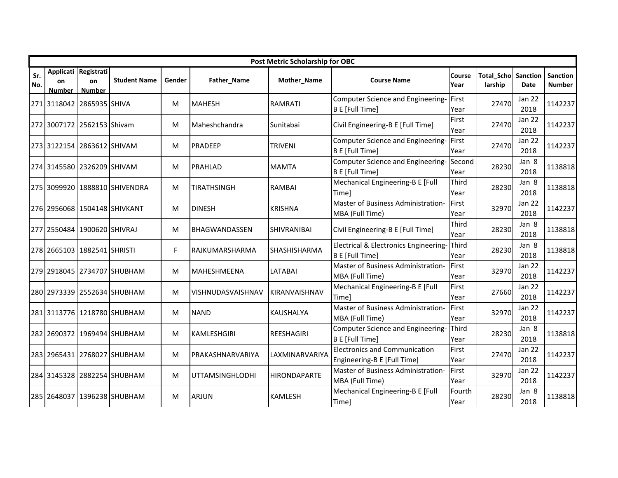|            | Post Metric Scholarship for OBC |                                             |                               |        |                        |                     |                                                                     |                |                              |                       |                           |  |  |  |
|------------|---------------------------------|---------------------------------------------|-------------------------------|--------|------------------------|---------------------|---------------------------------------------------------------------|----------------|------------------------------|-----------------------|---------------------------|--|--|--|
| Sr.<br>No. | on<br><b>Number</b>             | Applicati Registrati<br>on<br><b>Number</b> | <b>Student Name</b>           | Gender | Father_Name            | Mother_Name         | <b>Course Name</b>                                                  | Course<br>Year | <b>Total Scho</b><br>larship | Sanction<br>Date      | Sanction<br><b>Number</b> |  |  |  |
|            |                                 | 271 3118042 2865935 SHIVA                   |                               | м      | <b>MAHESH</b>          | <b>RAMRATI</b>      | Computer Science and Engineering-<br>B E [Full Time]                | First<br>Year  | 27470                        | <b>Jan 22</b><br>2018 | 1142237                   |  |  |  |
|            |                                 | 272 3007172 2562153 Shivam                  |                               | M      | Maheshchandra          | Sunitabai           | Civil Engineering-B E [Full Time]                                   | First<br>Year  | 27470                        | Jan 22<br>2018        | 1142237                   |  |  |  |
|            |                                 | 273 3122154 2863612 SHIVAM                  |                               | М      | <b>PRADEEP</b>         | <b>TRIVENI</b>      | Computer Science and Engineering-<br>B E [Full Time]                | First<br>Year  | 27470                        | Jan 22<br>2018        | 1142237                   |  |  |  |
|            |                                 | 274 3145580 2326209 SHIVAM                  |                               | М      | PRAHLAD                | <b>MAMTA</b>        | Computer Science and Engineering-<br>B E [Full Time]                | Second<br>Year | 28230                        | Jan 8<br>2018         | 1138818                   |  |  |  |
|            |                                 |                                             | 275 3099920 1888810 SHIVENDRA | M      | <b>TIRATHSINGH</b>     | <b>RAMBAI</b>       | Mechanical Engineering-B E [Full<br>Timel                           | Third<br>Year  | 28230                        | Jan 8<br>2018         | 1138818                   |  |  |  |
|            |                                 |                                             | 276 2956068 1504148 SHIVKANT  | М      | <b>DINESH</b>          | <b>KRISHNA</b>      | Master of Business Administration-<br>MBA (Full Time)               | First<br>Year  | 32970                        | Jan 22<br>2018        | 1142237                   |  |  |  |
|            |                                 | 277 2550484 1900620 SHIVRAJ                 |                               | М      | <b>BHAGWANDASSEN</b>   | <b>SHIVRANIBAI</b>  | Civil Engineering-B E [Full Time]                                   | Third<br>Year  | 28230                        | Jan 8<br>2018         | 1138818                   |  |  |  |
|            |                                 | 278 2665103 1882541 SHRISTI                 |                               | F.     | RAJKUMARSHARMA         | SHASHISHARMA        | Electrical & Electronics Engineering-<br>B E [Full Time]            | Third<br>Year  | 28230                        | Jan 8<br>2018         | 1138818                   |  |  |  |
|            |                                 |                                             | 279 2918045 2734707 SHUBHAM   | М      | <b>MAHESHMEENA</b>     | <b>LATABAI</b>      | Master of Business Administration-<br>MBA (Full Time)               | First<br>Year  | 32970                        | Jan 22<br>2018        | 1142237                   |  |  |  |
|            |                                 |                                             | 280 2973339 2552634 SHUBHAM   | M      | VISHNUDASVAISHNAV      | KIRANVAISHNAV       | Mechanical Engineering-B E [Full<br>Time]                           | First<br>Year  | 27660                        | Jan 22<br>2018        | 1142237                   |  |  |  |
|            |                                 |                                             | 281 3113776 1218780 SHUBHAM   | M      | <b>NAND</b>            | <b>KAUSHALYA</b>    | Master of Business Administration-<br>MBA (Full Time)               | First<br>Year  | 32970                        | <b>Jan 22</b><br>2018 | 1142237                   |  |  |  |
|            |                                 |                                             | 282 2690372 1969494 SHUBHAM   | M      | <b>KAMLESHGIRI</b>     | <b>REESHAGIRI</b>   | Computer Science and Engineering-<br>B E [Full Time]                | Third<br>Year  | 28230                        | Jan 8<br>2018         | 1138818                   |  |  |  |
|            |                                 |                                             | 283 2965431 2768027 SHUBHAM   | М      | PRAKASHNARVARIYA       | LAXMINARVARIYA      | <b>Electronics and Communication</b><br>Engineering-B E [Full Time] | First<br>Year  | 27470                        | Jan 22<br>2018        | 1142237                   |  |  |  |
|            |                                 |                                             | 284 3145328 2882254 SHUBHAM   | M      | <b>UTTAMSINGHLODHI</b> | <b>HIRONDAPARTE</b> | Master of Business Administration-<br>MBA (Full Time)               | First<br>Year  | 32970                        | Jan 22<br>2018        | 1142237                   |  |  |  |
|            |                                 |                                             | 285 2648037 1396238 SHUBHAM   | M      | <b>ARJUN</b>           | <b>KAMLESH</b>      | Mechanical Engineering-B E [Full<br>Time]                           | Fourth<br>Year | 28230                        | Jan 8<br>2018         | 1138818                   |  |  |  |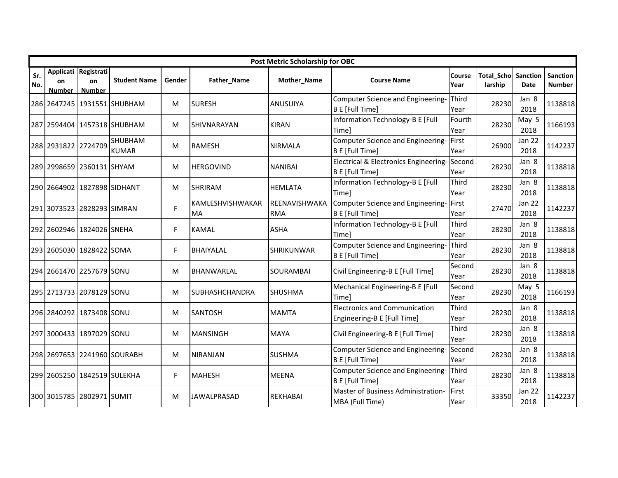|            | Post Metric Scholarship for OBC |                                             |                                |        |                        |                             |                                                                     |                |                                       |                       |                           |  |  |  |
|------------|---------------------------------|---------------------------------------------|--------------------------------|--------|------------------------|-----------------------------|---------------------------------------------------------------------|----------------|---------------------------------------|-----------------------|---------------------------|--|--|--|
| Sr.<br>No. | on<br><b>Number</b>             | Applicati Registrati<br>on<br><b>Number</b> | <b>Student Name</b>            | Gender | Father_Name            | Mother_Name                 | <b>Course Name</b>                                                  | Course<br>Year | <b>Total Scho Sanction</b><br>larship | Date                  | <b>Sanction</b><br>Number |  |  |  |
|            |                                 |                                             | 286 2647245 1931551 SHUBHAM    | м      | <b>SURESH</b>          | ANUSUIYA                    | Computer Science and Engineering-<br><b>B E [Full Time]</b>         | Third<br>Year  | 28230                                 | Jan 8<br>2018         | 1138818                   |  |  |  |
|            |                                 |                                             | 287 2594404 1457318 SHUBHAM    | M      | SHIVNARAYAN            | <b>KIRAN</b>                | Information Technology-B E [Full<br>Timel                           | Fourth<br>Year | 28230                                 | May 5<br>2018         | 1166193                   |  |  |  |
|            | 288 2931822 2724709             |                                             | <b>SHUBHAM</b><br><b>KUMAR</b> | M      | <b>RAMESH</b>          | <b>NIRMALA</b>              | Computer Science and Engineering-<br>B E [Full Time]                | First<br>Year  | 26900                                 | Jan 22<br>2018        | 1142237                   |  |  |  |
|            |                                 | 289 2998659 2360131 SHYAM                   |                                | м      | <b>HERGOVIND</b>       | <b>NANIBAI</b>              | Electrical & Electronics Engineering-<br><b>B E [Full Time]</b>     | Second<br>Year | 28230                                 | Jan 8<br>2018         | 1138818                   |  |  |  |
|            |                                 | 290 2664902 1827898 SIDHANT                 |                                | M      | <b>SHRIRAM</b>         | <b>HEMLATA</b>              | Information Technology-B E [Full<br>Timel                           | Third<br>Year  | 28230                                 | Jan 8<br>2018         | 1138818                   |  |  |  |
|            |                                 | 291 3073523 2828293 SIMRAN                  |                                | F      | KAMLESHVISHWAKAR<br>MA | REENAVISHWAKA<br><b>RMA</b> | Computer Science and Engineering-<br>B E [Full Time]                | First<br>Year  | 27470                                 | Jan 22<br>2018        | 1142237                   |  |  |  |
|            |                                 | 292 2602946 1824026 SNEHA                   |                                | F      | <b>KAMAL</b>           | <b>ASHA</b>                 | Information Technology-B E [Full<br>Time]                           | Third<br>Year  | 28230                                 | Jan 8<br>2018         | 1138818                   |  |  |  |
|            |                                 | 293 2605030 1828422 SOMA                    |                                | F      | <b>BHAIYALAL</b>       | <b>SHRIKUNWAR</b>           | Computer Science and Engineering-<br><b>B E</b> [Full Time]         | Third<br>Year  | 28230                                 | Jan 8<br>2018         | 1138818                   |  |  |  |
|            |                                 | 294 2661470 2257679 SONU                    |                                | м      | <b>BHANWARLAL</b>      | SOURAMBAI                   | Civil Engineering-B E [Full Time]                                   | Second<br>Year | 28230                                 | Jan 8<br>2018         | 1138818                   |  |  |  |
|            |                                 | 295 2713733 2078129 SONU                    |                                | M      | <b>SUBHASHCHANDRA</b>  | <b>SHUSHMA</b>              | Mechanical Engineering-B E [Full<br>Timel                           | Second<br>Year | 28230                                 | May 5<br>2018         | 1166193                   |  |  |  |
|            |                                 | 296 2840292 1873408 SONU                    |                                | M      | <b>SANTOSH</b>         | <b>MAMTA</b>                | <b>Electronics and Communication</b><br>Engineering-B E [Full Time] | Third<br>Year  | 28230                                 | Jan 8<br>2018         | 1138818                   |  |  |  |
|            |                                 | 297 3000433 1897029 SONU                    |                                | M      | <b>MANSINGH</b>        | <b>MAYA</b>                 | Civil Engineering-B E [Full Time]                                   | Third<br>Year  | 28230                                 | Jan 8<br>2018         | 1138818                   |  |  |  |
|            |                                 |                                             | 298 2697653 2241960 SOURABH    | м      | <b>NIRANJAN</b>        | <b>SUSHMA</b>               | Computer Science and Engineering-<br><b>B E</b> [Full Time]         | Second<br>Year | 28230                                 | Jan 8<br>2018         | 1138818                   |  |  |  |
|            |                                 | 299 2605250 1842519 SULEKHA                 |                                | F      | <b>MAHESH</b>          | <b>MEENA</b>                | Computer Science and Engineering-<br><b>B E [Full Time]</b>         | Third<br>Year  | 28230                                 | Jan 8<br>2018         | 1138818                   |  |  |  |
|            |                                 | 300 3015785 2802971 SUMIT                   |                                | M      | <b>JAWALPRASAD</b>     | <b>REKHABAI</b>             | Master of Business Administration-<br>MBA (Full Time)               | First<br>Year  | 33350                                 | <b>Jan 22</b><br>2018 | 1142237                   |  |  |  |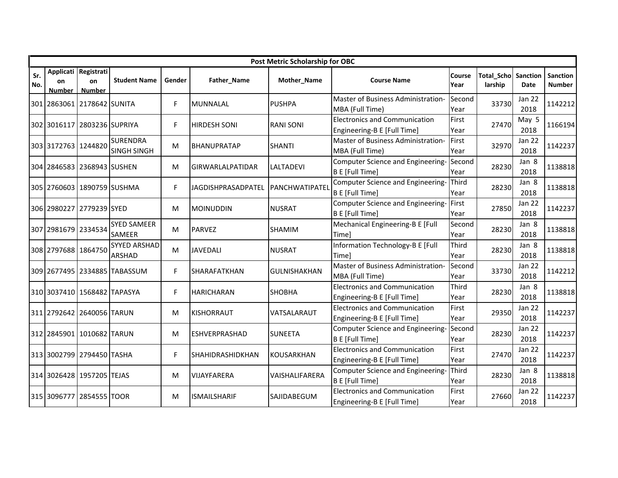|            | Post Metric Scholarship for OBC |                                             |                                       |        |                         |                     |                                                                     |                |                       |                       |                           |  |  |  |
|------------|---------------------------------|---------------------------------------------|---------------------------------------|--------|-------------------------|---------------------|---------------------------------------------------------------------|----------------|-----------------------|-----------------------|---------------------------|--|--|--|
| Sr.<br>No. | on<br><b>Number</b>             | Applicati Registrati<br>on<br><b>Number</b> | <b>Student Name</b>                   | Gender | Father_Name             | Mother_Name         | <b>Course Name</b>                                                  | Course<br>Year | Total_Scho<br>larship | Sanction<br>Date      | Sanction<br><b>Number</b> |  |  |  |
|            |                                 | 301 2863061 2178642 SUNITA                  |                                       | F      | <b>MUNNALAL</b>         | <b>PUSHPA</b>       | Master of Business Administration-<br>MBA (Full Time)               | Second<br>Year | 33730                 | Jan 22<br>2018        | 1142212                   |  |  |  |
|            |                                 | 302 3016117 2803236 SUPRIYA                 |                                       | F.     | <b>HIRDESH SONI</b>     | <b>RANI SONI</b>    | <b>Electronics and Communication</b><br>Engineering-B E [Full Time] | First<br>Year  | 27470                 | May 5<br>2018         | 1166194                   |  |  |  |
|            | 303 3172763 1244820             |                                             | <b>SURENDRA</b><br><b>SINGH SINGH</b> | M      | <b>BHANUPRATAP</b>      | <b>SHANTI</b>       | Master of Business Administration-<br>MBA (Full Time)               | First<br>Year  | 32970                 | Jan 22<br>2018        | 1142237                   |  |  |  |
|            |                                 | 304 2846583 2368943 SUSHEN                  |                                       | М      | <b>GIRWARLALPATIDAR</b> | <b>LALTADEVI</b>    | Computer Science and Engineering-<br>B E [Full Time]                | Second<br>Year | 28230                 | Jan 8<br>2018         | 1138818                   |  |  |  |
|            |                                 | 305 2760603 1890759 SUSHMA                  |                                       | F.     | JAGDISHPRASADPATEL      | PANCHWATIPATEL      | Computer Science and Engineering-<br><b>B E</b> [Full Time]         | Third<br>Year  | 28230                 | Jan 8<br>2018         | 1138818                   |  |  |  |
|            |                                 | 306 2980227 2779239 SYED                    |                                       | М      | <b>MOINUDDIN</b>        | <b>NUSRAT</b>       | Computer Science and Engineering-<br>B E [Full Time]                | First<br>Year  | 27850                 | <b>Jan 22</b><br>2018 | 1142237                   |  |  |  |
|            | 307 2981679 2334534             |                                             | <b>SYED SAMEER</b><br><b>SAMEER</b>   | M      | <b>PARVEZ</b>           | <b>SHAMIM</b>       | Mechanical Engineering-B E [Full<br>Time]                           | Second<br>Year | 28230                 | Jan 8<br>2018         | 1138818                   |  |  |  |
|            | 308 2797688 1864750             |                                             | <b>SYYED ARSHAD</b><br><b>ARSHAD</b>  | M      | <b>JAVEDALI</b>         | <b>NUSRAT</b>       | Information Technology-B E [Full<br><b>Time</b>                     | Third<br>Year  | 28230                 | Jan 8<br>2018         | 1138818                   |  |  |  |
|            |                                 |                                             | 309 2677495 2334885 TABASSUM          | F.     | SHARAFATKHAN            | <b>GULNISHAKHAN</b> | Master of Business Administration-<br>MBA (Full Time)               | Second<br>Year | 33730                 | Jan 22<br>2018        | 1142212                   |  |  |  |
|            |                                 | 310 3037410 1568482 TAPASYA                 |                                       | F.     | <b>HARICHARAN</b>       | <b>SHOBHA</b>       | <b>Electronics and Communication</b><br>Engineering-B E [Full Time] | Third<br>Year  | 28230                 | Jan 8<br>2018         | 1138818                   |  |  |  |
|            |                                 | 311 2792642 2640056 TARUN                   |                                       | М      | <b>KISHORRAUT</b>       | VATSALARAUT         | <b>Electronics and Communication</b><br>Engineering-B E [Full Time] | First<br>Year  | 29350                 | <b>Jan 22</b><br>2018 | 1142237                   |  |  |  |
|            |                                 | 312 2845901 1010682 TARUN                   |                                       | M      | <b>ESHVERPRASHAD</b>    | <b>SUNEETA</b>      | Computer Science and Engineering-<br>B E [Full Time]                | Second<br>Year | 28230                 | <b>Jan 22</b><br>2018 | 1142237                   |  |  |  |
|            |                                 | 313 3002799 2794450 TASHA                   |                                       | F      | SHAHIDRASHIDKHAN        | <b>KOUSARKHAN</b>   | <b>Electronics and Communication</b><br>Engineering-B E [Full Time] | First<br>Year  | 27470                 | <b>Jan 22</b><br>2018 | 1142237                   |  |  |  |
|            |                                 | 314 3026428 1957205 TEJAS                   |                                       | M      | <b>VIJAYFARERA</b>      | VAISHALIFARERA      | Computer Science and Engineering-<br>B E [Full Time]                | Third<br>Year  | 28230                 | Jan 8<br>2018         | 1138818                   |  |  |  |
|            |                                 | 315 3096777 2854555 TOOR                    |                                       | M      | <b>ISMAILSHARIF</b>     | SAJIDABEGUM         | <b>Electronics and Communication</b><br>Engineering-B E [Full Time] | First<br>Year  | 27660                 | Jan 22<br>2018        | 1142237                   |  |  |  |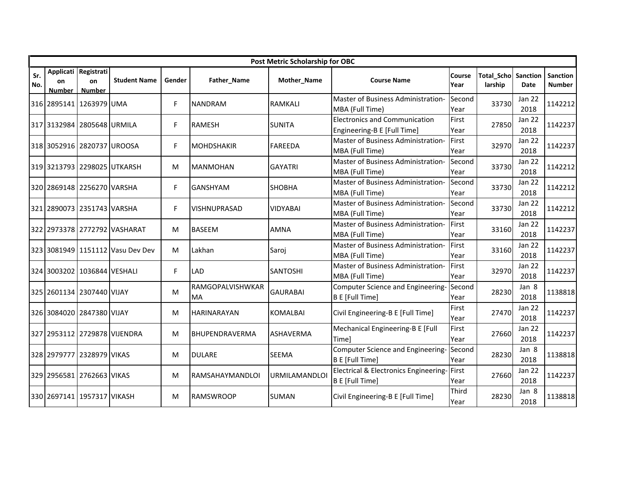|            | Post Metric Scholarship for OBC |                                      |                                  |        |                               |                      |                                                                     |                |                              |                       |                           |  |  |  |
|------------|---------------------------------|--------------------------------------|----------------------------------|--------|-------------------------------|----------------------|---------------------------------------------------------------------|----------------|------------------------------|-----------------------|---------------------------|--|--|--|
| Sr.<br>No. | on<br><b>Number</b>             | Applicati Registrati<br>on<br>Number | <b>Student Name</b>              | Gender | Father_Name                   | Mother_Name          | <b>Course Name</b>                                                  | Course<br>Year | <b>Total_Scho</b><br>larship | Sanction<br>Date      | Sanction<br><b>Number</b> |  |  |  |
|            |                                 | 316 2895141 1263979 UMA              |                                  | F.     | <b>NANDRAM</b>                | <b>RAMKALI</b>       | Master of Business Administration-<br>MBA (Full Time)               | Second<br>Year | 33730                        | Jan 22<br>2018        | 1142212                   |  |  |  |
|            |                                 | 317 3132984 2805648 URMILA           |                                  | F      | <b>RAMESH</b>                 | <b>SUNITA</b>        | <b>Electronics and Communication</b><br>Engineering-B E [Full Time] | First<br>Year  | 27850                        | <b>Jan 22</b><br>2018 | 1142237                   |  |  |  |
|            |                                 | 318 3052916 2820737 UROOSA           |                                  | F.     | <b>MOHDSHAKIR</b>             | <b>FAREEDA</b>       | Master of Business Administration-<br>MBA (Full Time)               | First<br>Year  | 32970                        | Jan 22<br>2018        | 1142237                   |  |  |  |
|            |                                 |                                      | 319 3213793 2298025 UTKARSH      | М      | <b>MANMOHAN</b>               | <b>GAYATRI</b>       | Master of Business Administration-<br>MBA (Full Time)               | Second<br>Year | 33730                        | Jan 22<br>2018        | 1142212                   |  |  |  |
|            |                                 | 320 2869148 2256270 VARSHA           |                                  | F.     | <b>GANSHYAM</b>               | <b>SHOBHA</b>        | Master of Business Administration-<br>MBA (Full Time)               | Second<br>Year | 33730                        | <b>Jan 22</b><br>2018 | 1142212                   |  |  |  |
|            |                                 | 321 2890073 2351743 VARSHA           |                                  | F.     | <b>VISHNUPRASAD</b>           | <b>VIDYABAI</b>      | Master of Business Administration-<br>MBA (Full Time)               | Second<br>Year | 33730                        | <b>Jan 22</b><br>2018 | 1142212                   |  |  |  |
|            |                                 |                                      | 322 2973378 2772792 VASHARAT     | M      | <b>BASEEM</b>                 | <b>AMNA</b>          | Master of Business Administration-<br>MBA (Full Time)               | First<br>Year  | 33160                        | Jan 22<br>2018        | 1142237                   |  |  |  |
|            |                                 |                                      | 323 3081949 1151112 Vasu Dev Dev | M      | Lakhan                        | Saroj                | Master of Business Administration-<br>MBA (Full Time)               | First<br>Year  | 33160                        | Jan 22<br>2018        | 1142237                   |  |  |  |
|            |                                 | 324 3003202 1036844 VESHALI          |                                  | F.     | <b>LAD</b>                    | <b>SANTOSHI</b>      | Master of Business Administration-<br>MBA (Full Time)               | First<br>Year  | 32970                        | Jan 22<br>2018        | 1142237                   |  |  |  |
|            |                                 | 325 2601134 2307440 VIJAY            |                                  | M      | RAMGOPALVISHWKAR<br><b>MA</b> | <b>GAURABAI</b>      | Computer Science and Engineering-<br><b>B E</b> [Full Time]         | Second<br>Year | 28230                        | Jan 8<br>2018         | 1138818                   |  |  |  |
|            |                                 | 326 3084020 2847380 VIJAY            |                                  | M      | <b>HARINARAYAN</b>            | <b>KOMALBAI</b>      | Civil Engineering-B E [Full Time]                                   | First<br>Year  | 27470                        | <b>Jan 22</b><br>2018 | 1142237                   |  |  |  |
|            |                                 |                                      | 327 2953112 2729878 VIJENDRA     | M      | BHUPENDRAVERMA                | <b>ASHAVERMA</b>     | Mechanical Engineering-B E [Full<br>Time]                           | First<br>Year  | 27660                        | <b>Jan 22</b><br>2018 | 1142237                   |  |  |  |
|            |                                 | 328 2979777 2328979 VIKAS            |                                  | м      | <b>DULARE</b>                 | <b>SEEMA</b>         | Computer Science and Engineering-<br><b>B E [Full Time]</b>         | Second<br>Year | 28230                        | Jan 8<br>2018         | 1138818                   |  |  |  |
|            |                                 | 329 2956581 2762663 VIKAS            |                                  | M      | RAMSAHAYMANDLOI               | <b>URMILAMANDLOI</b> | Electrical & Electronics Engineering-First<br>B E [Full Time]       | Year           | 27660                        | Jan 22<br>2018        | 1142237                   |  |  |  |
|            |                                 | 330 2697141 1957317 VIKASH           |                                  | M      | <b>RAMSWROOP</b>              | <b>SUMAN</b>         | Civil Engineering-B E [Full Time]                                   | Third<br>Year  | 28230                        | Jan 8<br>2018         | 1138818                   |  |  |  |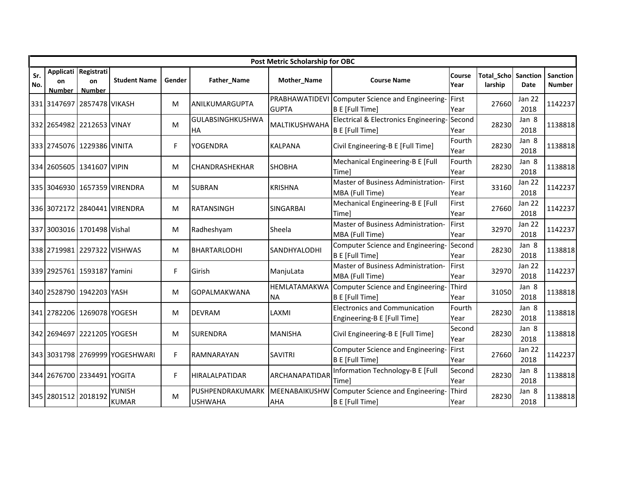|            | Post Metric Scholarship for OBC |                                             |                                |        |                                      |                             |                                                                     |                |                                       |                       |                           |  |  |  |
|------------|---------------------------------|---------------------------------------------|--------------------------------|--------|--------------------------------------|-----------------------------|---------------------------------------------------------------------|----------------|---------------------------------------|-----------------------|---------------------------|--|--|--|
| Sr.<br>No. | on<br><b>Number</b>             | Applicati Registrati<br>on<br><b>Number</b> | <b>Student Name</b>            | Gender | Father_Name                          | Mother_Name                 | <b>Course Name</b>                                                  | Course<br>Year | <b>Total Scho Sanction</b><br>larship | Date                  | <b>Sanction</b><br>Number |  |  |  |
|            |                                 | 331 3147697 2857478 VIKASH                  |                                | м      | ANILKUMARGUPTA                       | <b>GUPTA</b>                | PRABHAWATIDEVI Computer Science and Engineering-<br>B E [Full Time] | First<br>Year  | 27660                                 | <b>Jan 22</b><br>2018 | 1142237                   |  |  |  |
|            |                                 | 332 2654982 2212653 VINAY                   |                                | M      | <b>GULABSINGHKUSHWA</b><br><b>HA</b> | MALTIKUSHWAHA               | Electrical & Electronics Engineering-<br><b>B E</b> [Full Time]     | Second<br>Year | 28230                                 | Jan 8<br>2018         | 1138818                   |  |  |  |
|            |                                 | 333 2745076 1229386 VINITA                  |                                | F      | YOGENDRA                             | <b>KALPANA</b>              | Civil Engineering-B E [Full Time]                                   | Fourth<br>Year | 28230                                 | Jan 8<br>2018         | 1138818                   |  |  |  |
|            |                                 | 334 2605605 1341607 VIPIN                   |                                | м      | <b>CHANDRASHEKHAR</b>                | <b>SHOBHA</b>               | Mechanical Engineering-B E [Full<br>Timel                           | Fourth<br>Year | 28230                                 | Jan 8<br>2018         | 1138818                   |  |  |  |
|            |                                 |                                             | 335 3046930 1657359 VIRENDRA   | M      | <b>SUBRAN</b>                        | <b>KRISHNA</b>              | Master of Business Administration-<br>MBA (Full Time)               | First<br>Year  | 33160                                 | <b>Jan 22</b><br>2018 | 1142237                   |  |  |  |
|            |                                 |                                             | 336 3072172 2840441 VIRENDRA   | м      | <b>RATANSINGH</b>                    | <b>SINGARBAI</b>            | Mechanical Engineering-B E [Full<br>Timel                           | First<br>Year  | 27660                                 | Jan 22<br>2018        | 1142237                   |  |  |  |
|            |                                 | 337 3003016 1701498 Vishal                  |                                | M      | Radheshyam                           | Sheela                      | Master of Business Administration-<br>MBA (Full Time)               | First<br>Year  | 32970                                 | <b>Jan 22</b><br>2018 | 1142237                   |  |  |  |
|            |                                 |                                             | 338 2719981 2297322 VISHWAS    | м      | <b>BHARTARLODHI</b>                  | SANDHYALODHI                | Computer Science and Engineering-<br><b>B E</b> [Full Time]         | Second<br>Year | 28230                                 | Jan 8<br>2018         | 1138818                   |  |  |  |
|            |                                 | 339 2925761 1593187 Yamini                  |                                | F      | Girish                               | ManjuLata                   | Master of Business Administration-<br>MBA (Full Time)               | First<br>Year  | 32970                                 | <b>Jan 22</b><br>2018 | 1142237                   |  |  |  |
|            |                                 | 340 2528790 1942203 YASH                    |                                | M      | <b>GOPALMAKWANA</b>                  | HEMLATAMAKWA<br><b>NA</b>   | Computer Science and Engineering-<br>B E [Full Time]                | Third<br>Year  | 31050                                 | Jan 8<br>2018         | 1138818                   |  |  |  |
|            |                                 | 341 2782206 1269078 YOGESH                  |                                | м      | <b>DEVRAM</b>                        | LAXMI                       | <b>Electronics and Communication</b><br>Engineering-B E [Full Time] | Fourth<br>Year | 28230                                 | Jan 8<br>2018         | 1138818                   |  |  |  |
|            |                                 | 342 2694697 2221205 YOGESH                  |                                | м      | <b>SURENDRA</b>                      | <b>MANISHA</b>              | Civil Engineering-B E [Full Time]                                   | Second<br>Year | 28230                                 | Jan 8<br>2018         | 1138818                   |  |  |  |
|            |                                 |                                             | 343 3031798 2769999 YOGESHWARI | F      | RAMNARAYAN                           | <b>SAVITRI</b>              | Computer Science and Engineering-<br><b>B E</b> [Full Time]         | First<br>Year  | 27660                                 | <b>Jan 22</b><br>2018 | 1142237                   |  |  |  |
|            |                                 | 344 2676700 2334491 YOGITA                  |                                | F      | <b>HIRALALPATIDAR</b>                | ARCHANAPATIDAR              | Information Technology-B E [Full<br>Time]                           | Second<br>Year | 28230                                 | Jan 8<br>2018         | 1138818                   |  |  |  |
|            | 345 2801512 2018192             |                                             | <b>YUNISH</b><br><b>KUMAR</b>  | м      | PUSHPENDRAKUMARK<br><b>USHWAHA</b>   | MEENABAIKUSHW<br><b>AHA</b> | Computer Science and Engineering-<br><b>B E</b> [Full Time]         | Third<br>Year  | 28230                                 | Jan 8<br>2018         | 1138818                   |  |  |  |